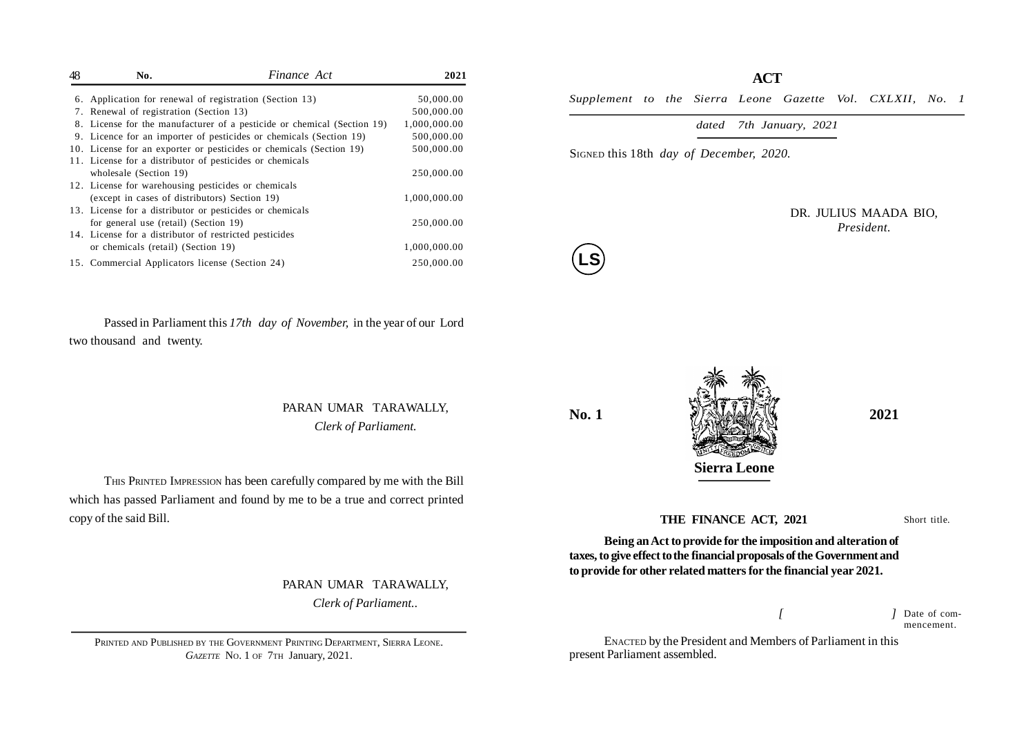| 48 | No.                                                      | Finance Act                                                             | 2021         |
|----|----------------------------------------------------------|-------------------------------------------------------------------------|--------------|
|    | 6. Application for renewal of registration (Section 13)  |                                                                         | 50,000.00    |
|    | 7. Renewal of registration (Section 13)                  |                                                                         | 500,000.00   |
|    |                                                          | 8. License for the manufacturer of a pesticide or chemical (Section 19) | 1,000,000.00 |
|    |                                                          | 9. Licence for an importer of pesticides or chemicals (Section 19)      | 500,000.00   |
|    |                                                          | 10. License for an exporter or pesticides or chemicals (Section 19)     | 500,000.00   |
|    | 11. License for a distributor of pesticides or chemicals |                                                                         |              |
|    | wholesale (Section 19)                                   |                                                                         | 250,000.00   |
|    | 12. License for warehousing pesticides or chemicals      |                                                                         |              |
|    | (except in cases of distributors) Section 19)            |                                                                         | 1,000,000.00 |
|    | 13. License for a distributor or pesticides or chemicals |                                                                         |              |
|    | for general use (retail) (Section 19)                    |                                                                         | 250,000.00   |
|    | 14. License for a distributor of restricted pesticides   |                                                                         |              |
|    | or chemicals (retail) (Section 19)                       |                                                                         | 1,000,000.00 |
|    | 15. Commercial Applicators license (Section 24)          |                                                                         | 250,000.00   |

Passed in Parliament this *17th day of November,* in the year of our Lord two thousand and twenty.

> PARAN UMAR TARAWALLY, *Clerk of Parliament.*

THIS PRINTED IMPRESSION has been carefully compared by me with the Bill which has passed Parliament and found by me to be a true and correct printed copy of the said Bill.

> PARAN UMAR TARAWALLY, *Clerk of Parliament..*

PRINTED AND PUBLISHED BY THE GOVERNMENT PRINTING DEPARTMENT, SIERRA LEONE. *GAZETTE* NO. 1 OF 7TH January, 2021.

# **ACT**

*Supplement to the Sierra Leone Gazette Vol. CXLXII, No. 1*

*dated 7th January, 2021*

SIGNED this 18th *day of December, 2020.*

**LS**

DR. JULIUS MAADA BIO, *President.*



**THE FINANCE ACT, 2021**

**Sierra Leone**

Short title.

**Being an Act to provide for the imposition and alteration of taxes, to give effect to the financial proposals of the Government and to provide for other related matters for the financial year 2021.**

> *[ ]* Date of commencement.

ENACTED by the President and Members of Parliament in this present Parliament assembled.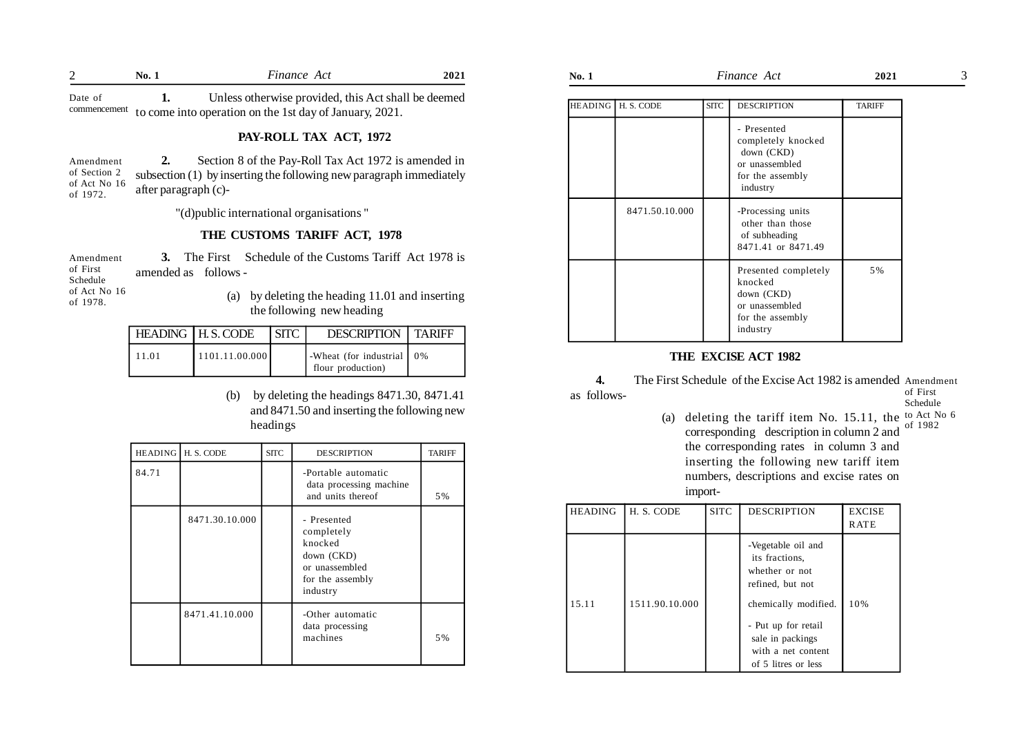|                             | LAU. | inance<br>.<br>٦C                                                                   | 202 | N <sub>0</sub> . 1 |                        |       | 'inance<br>AC       | 202           |  |
|-----------------------------|------|-------------------------------------------------------------------------------------|-----|--------------------|------------------------|-------|---------------------|---------------|--|
| $\sqrt{ }$<br>$\Delta$ Date |      | th <sub>15</sub><br>$n_{\rm FOW1}$<br>۹h<br>'VX71 C<br>n.<br>othe<br>$\sim$<br>Jnje |     |                    |                        |       |                     |               |  |
|                             |      |                                                                                     |     |                    | $\sim$<br>$\mathbf{r}$ | 10000 | <b>DECONTRELANT</b> | <b>DADITE</b> |  |

commencement to come into operation on the 1st day of January, 2021.

## **PAY-ROLL TAX ACT, 1972**

**2.** Section 8 of the Pay-Roll Tax Act 1972 is amended in subsection (1) by inserting the following new paragraph immediately after paragraph (c)- Amendment of Section 2 of Act No 16 of 1972.

"(d)public international organisations "

# **THE CUSTOMS TARIFF ACT, 1978**

| Amendment                |                      | 3. The First Schedule of the Customs Tariff Act 1978 is |
|--------------------------|----------------------|---------------------------------------------------------|
| of First                 | amended as follows - |                                                         |
| Schedule<br>of Act No 16 |                      |                                                         |
| of 1978.                 |                      | (a) by deleting the heading 11.01 and inserting         |
|                          |                      | the following new heading                               |

|       | HEADING H.S. CODE | <b>SITC</b> | <b>DESCRIPTION   TARIFF</b>                    |  |
|-------|-------------------|-------------|------------------------------------------------|--|
| 11.01 | 1101.11.00.000    |             | -Wheat (for industrial 0%<br>flour production) |  |

(b) by deleting the headings 8471.30, 8471.41 and 8471.50 and inserting the following new headings

|       | HEADING   H. S. CODE | <b>SITC</b> | <b>DESCRIPTION</b>                                                                                   | <b>TARIFF</b> |
|-------|----------------------|-------------|------------------------------------------------------------------------------------------------------|---------------|
| 84.71 |                      |             | -Portable automatic<br>data processing machine<br>and units thereof                                  | 5%            |
|       | 8471.30.10.000       |             | - Presented<br>completely<br>knocked<br>down (CKD)<br>or unassembled<br>for the assembly<br>industry |               |
|       | 8471.41.10.000       |             | -Other automatic<br>data processing<br>machines                                                      | 5%            |

| S |   |   |
|---|---|---|
|   | ć | I |
|   |   |   |

| <b>HEADING</b> | H. S. CODE     | <b>SITC</b> | <b>DESCRIPTION</b>                                                                                | <b>TARIFF</b> |
|----------------|----------------|-------------|---------------------------------------------------------------------------------------------------|---------------|
|                |                |             | - Presented<br>completely knocked<br>down (CKD)<br>or unassembled<br>for the assembly<br>industry |               |
|                | 8471.50.10.000 |             | -Processing units<br>other than those<br>of subheading<br>8471.41 or 8471.49                      |               |
|                |                |             | Presented completely<br>knocked<br>down (CKD)<br>or unassembled<br>for the assembly<br>industry   | 5 %           |

## **THE EXCISE ACT 1982**

**4.** The First Schedule of the Excise Act 1982 is amended Amendment as follows of First Schedule

> (a) deleting the tariff item No. 15.11, the  $\frac{\text{to Act No}}{\text{to 100}}$ corresponding description in column 2 and the corresponding rates in column 3 and inserting the following new tariff item numbers, descriptions and excise rates on importof 1982

| <b>HEADING</b> | H. S. CODE     | <b>SITC</b> | <b>DESCRIPTION</b>                                                                                                                                                                         | <b>EXCISE</b><br>RATE |
|----------------|----------------|-------------|--------------------------------------------------------------------------------------------------------------------------------------------------------------------------------------------|-----------------------|
| 15.11          | 1511.90.10.000 |             | -Vegetable oil and<br>its fractions,<br>whether or not<br>refined, but not<br>chemically modified.<br>- Put up for retail<br>sale in packings<br>with a net content<br>of 5 litres or less | 10%                   |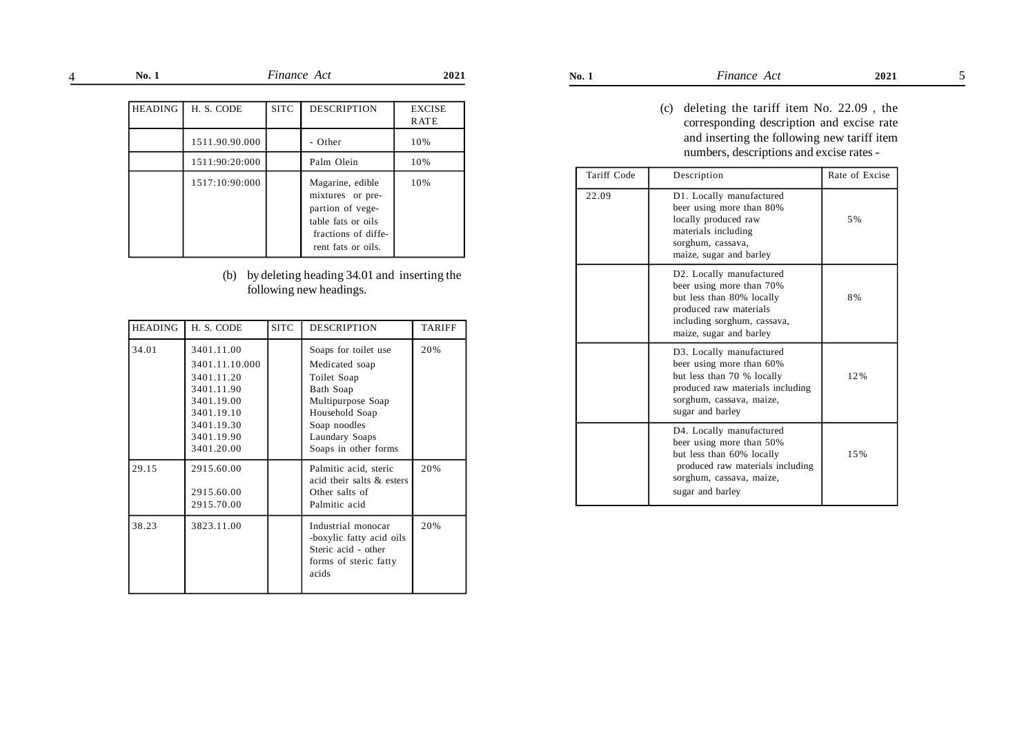## 4 **No. 1** *Finance Act* **2021 No. 1** *Finance Act* **2021**

| <b>HEADING</b> | H. S. CODE     | <b>SITC</b> | <b>DESCRIPTION</b>                                                                                                          | <b>EXCISE</b><br><b>RATE</b> |
|----------------|----------------|-------------|-----------------------------------------------------------------------------------------------------------------------------|------------------------------|
|                | 1511.90.90.000 |             | - Other                                                                                                                     | 10%                          |
|                | 1511:90:20:000 |             | Palm Olein                                                                                                                  | 10%                          |
|                | 1517:10:90:000 |             | Magarine, edible<br>mixtures or pre-<br>partion of vege-<br>table fats or oils<br>fractions of diffe-<br>rent fats or oils. | 10%                          |

(b) by deleting heading 34.01 and inserting the following new headings.

| <b>HEADING</b> | H. S. CODE                                                                                                                     | SITC. | <b>DESCRIPTION</b>                                                                                                                                                  | <b>TARIFF</b> |
|----------------|--------------------------------------------------------------------------------------------------------------------------------|-------|---------------------------------------------------------------------------------------------------------------------------------------------------------------------|---------------|
| 34.01          | 3401.11.00<br>3401.11.10.000<br>3401.11.20<br>3401.11.90<br>3401.19.00<br>3401.19.10<br>3401.19.30<br>3401.19.90<br>3401.20.00 |       | Soaps for toilet use<br>Medicated soap<br>Toilet Soap<br>Bath Soap<br>Multipurpose Soap<br>Household Soap<br>Soap noodles<br>Laundary Soaps<br>Soaps in other forms | 20%           |
| 29.15          | 2915.60.00<br>2915.60.00<br>2915.70.00                                                                                         |       | Palmitic acid, steric<br>acid their salts & esters<br>Other salts of<br>Palmitic acid                                                                               | 20%           |
| 38.23          | 3823.11.00                                                                                                                     |       | Industrial monocar<br>-boxylic fatty acid oils<br>Steric acid - other<br>forms of steric fatty<br>acids                                                             | 20%           |

- 
- 
- (c) deleting the tariff item No. 22.09 , the corresponding description and excise rate and inserting the following new tariff item numbers, descriptions and excise rates -

| Tariff Code | Description                                                                                                                                                            | Rate of Excise |
|-------------|------------------------------------------------------------------------------------------------------------------------------------------------------------------------|----------------|
| 22.09       | D1. Locally manufactured<br>beer using more than 80%<br>locally produced raw<br>materials including<br>sorghum, cassava,<br>maize, sugar and barley                    | 5 %            |
|             | D2. Locally manufactured<br>beer using more than 70%<br>but less than 80% locally<br>produced raw materials<br>including sorghum, cassava,<br>maize, sugar and barley  | 8%             |
|             | D3. Locally manufactured<br>beer using more than 60%<br>but less than 70 % locally<br>produced raw materials including<br>sorghum, cassava, maize,<br>sugar and barley | 12%            |
|             | D4. Locally manufactured<br>beer using more than 50%<br>but less than 60% locally<br>produced raw materials including<br>sorghum, cassava, maize,<br>sugar and barley  | 1.5%           |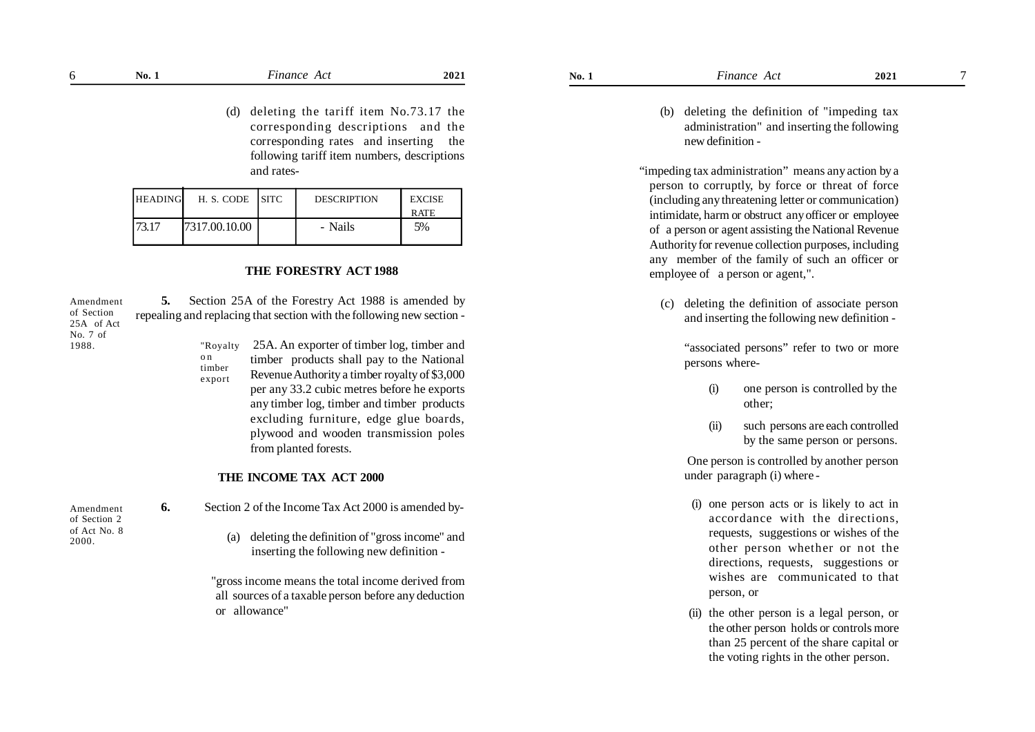(d) deleting the tariff item No.73.17 the corresponding descriptions and the corresponding rates and inserting the following tariff item numbers, descriptions and rates-

| <b>HEADING</b> | H. S. CODE SITC | <b>DESCRIPTION</b> | <b>EXCISE</b><br><b>RATE</b> |
|----------------|-----------------|--------------------|------------------------------|
| 173.17         | 17317.00.10.00  | - Nails            | 5%                           |

#### **THE FORESTRY ACT 1988**

**5.** Section 25A of the Forestry Act 1988 is amended by repealing and replacing that section with the following new section - 25A. An exporter of timber log, timber and Amendment of Section 25A of Act No. 7 of 1988. "Royalty o n

- timber export
- timber products shall pay to the National Revenue Authority a timber royalty of \$3,000 per any 33.2 cubic metres before he exports any timber log, timber and timber products excluding furniture, edge glue boards, plywood and wooden transmission poles from planted forests.

### **THE INCOME TAX ACT 2000**

| Amendment    |  |  |  |
|--------------|--|--|--|
| of Section 2 |  |  |  |
| of Act No. 8 |  |  |  |
| 2000.        |  |  |  |

- **6.** Section 2 of the Income Tax Act 2000 is amended by-
	- (a) deleting the definition of "gross income" and inserting the following new definition -

 "gross income means the total income derived from all sources of a taxable person before any deduction or allowance"

- 
- (b) deleting the definition of "impeding tax administration" and inserting the following new definition -
- "impeding tax administration" means any action by a person to corruptly, by force or threat of force (including any threatening letter or communication) intimidate, harm or obstruct any officer or employee of a person or agent assisting the National Revenue Authority for revenue collection purposes, including any member of the family of such an officer or employee of a person or agent,".
	- (c) deleting the definition of associate person and inserting the following new definition -

"associated persons" refer to two or more persons where-

- (i) one person is controlled by the other;
- (ii) such persons are each controlled by the same person or persons.

 One person is controlled by another person under paragraph (i) where -

- (i) one person acts or is likely to act in accordance with the directions, requests, suggestions or wishes of the other person whether or not the directions, requests, suggestions or wishes are communicated to that person, or
- (ii) the other person is a legal person, or the other person holds or controls more than 25 percent of the share capital or the voting rights in the other person.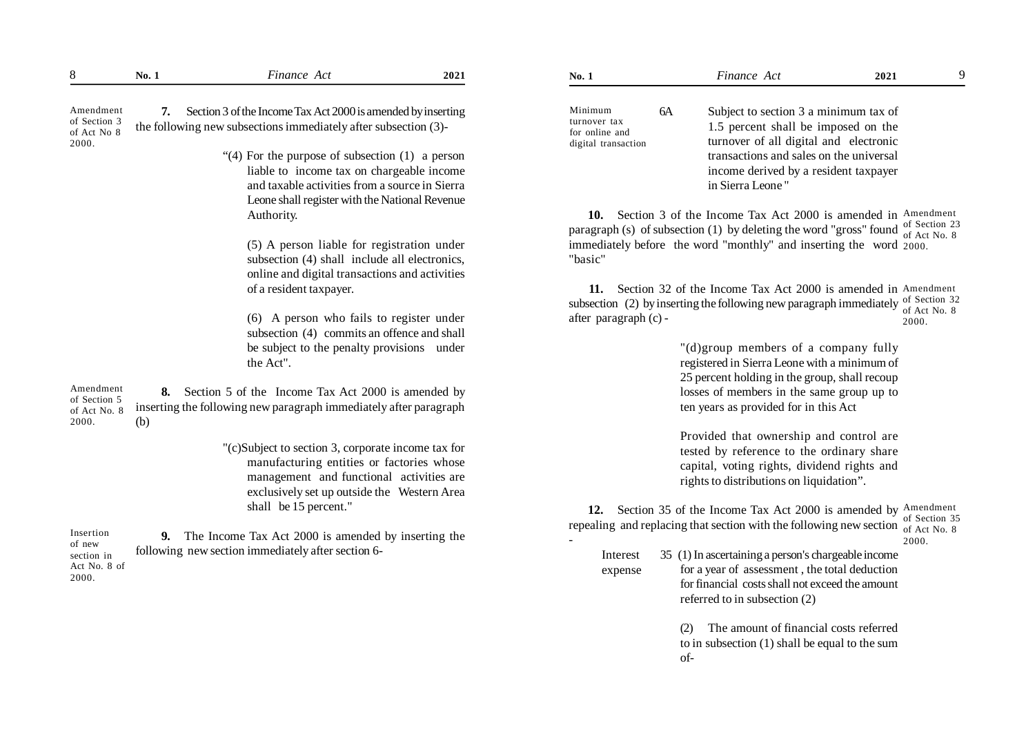| 8                                                          | No. 1     | Finance Act                                                                                                                                                                                                                                                                                                                           | 2021 | No.1                                                             | Finance Act                                                                                                                                                                                                                                                                                                                                                                                                                                    | 9<br>2021                              |
|------------------------------------------------------------|-----------|---------------------------------------------------------------------------------------------------------------------------------------------------------------------------------------------------------------------------------------------------------------------------------------------------------------------------------------|------|------------------------------------------------------------------|------------------------------------------------------------------------------------------------------------------------------------------------------------------------------------------------------------------------------------------------------------------------------------------------------------------------------------------------------------------------------------------------------------------------------------------------|----------------------------------------|
| Amendment<br>of Section 3<br>of Act No 8<br>2000.          | 7.        | Section 3 of the Income Tax Act 2000 is amended by inserting<br>the following new subsections immediately after subsection (3)-<br>"(4) For the purpose of subsection $(1)$ a person<br>liable to income tax on chargeable income<br>and taxable activities from a source in Sierra<br>Leone shall register with the National Revenue |      | Minimum<br>turnover tax<br>for online and<br>digital transaction | 6A<br>Subject to section 3 a minimum tax of<br>1.5 percent shall be imposed on the<br>turnover of all digital and electronic<br>transactions and sales on the universal<br>income derived by a resident taxpayer<br>in Sierra Leone"                                                                                                                                                                                                           |                                        |
|                                                            |           | Authority.<br>(5) A person liable for registration under<br>subsection (4) shall include all electronics,<br>online and digital transactions and activities                                                                                                                                                                           |      | "basic"                                                          | 10. Section 3 of the Income Tax Act 2000 is amended in Amendment<br>paragraph (s) of subsection (1) by deleting the word "gross" found $\frac{1}{1000}$ of Act No. 8<br>immediately before the word "monthly" and inserting the word 2000.                                                                                                                                                                                                     |                                        |
|                                                            |           | of a resident taxpayer.<br>(6) A person who fails to register under<br>subsection (4) commits an offence and shall<br>be subject to the penalty provisions under                                                                                                                                                                      |      | after paragraph (c) -                                            | 11. Section 32 of the Income Tax Act 2000 is amended in Amendment<br>subsection (2) by inserting the following new paragraph immediately of Section 32<br>"(d) group members of a company fully                                                                                                                                                                                                                                                | of Act No. 8<br>2000.                  |
| Amendment<br>of Section 5<br>of Act No. 8<br>2000.         | 8.<br>(b) | the Act".<br>Section 5 of the Income Tax Act 2000 is amended by<br>inserting the following new paragraph immediately after paragraph                                                                                                                                                                                                  |      |                                                                  | registered in Sierra Leone with a minimum of<br>25 percent holding in the group, shall recoup<br>losses of members in the same group up to<br>ten years as provided for in this Act                                                                                                                                                                                                                                                            |                                        |
|                                                            |           | "(c)Subject to section 3, corporate income tax for<br>manufacturing entities or factories whose<br>management and functional activities are<br>exclusively set up outside the Western Area<br>shall be 15 percent."                                                                                                                   |      |                                                                  | Provided that ownership and control are<br>tested by reference to the ordinary share<br>capital, voting rights, dividend rights and<br>rights to distributions on liquidation".                                                                                                                                                                                                                                                                |                                        |
| Insertion<br>of new<br>section in<br>Act No. 8 of<br>2000. | 9.        | The Income Tax Act 2000 is amended by inserting the<br>following new section immediately after section 6-                                                                                                                                                                                                                             |      | Interest<br>expense                                              | 12. Section 35 of the Income Tax Act 2000 is amended by Amendment<br>repealing and replacing that section with the following new section<br>35 (1) In ascertaining a person's chargeable income<br>for a year of assessment, the total deduction<br>for financial costs shall not exceed the amount<br>referred to in subsection (2)<br>The amount of financial costs referred<br>(2)<br>to in subsection (1) shall be equal to the sum<br>of- | of Section 35<br>of Act No. 8<br>2000. |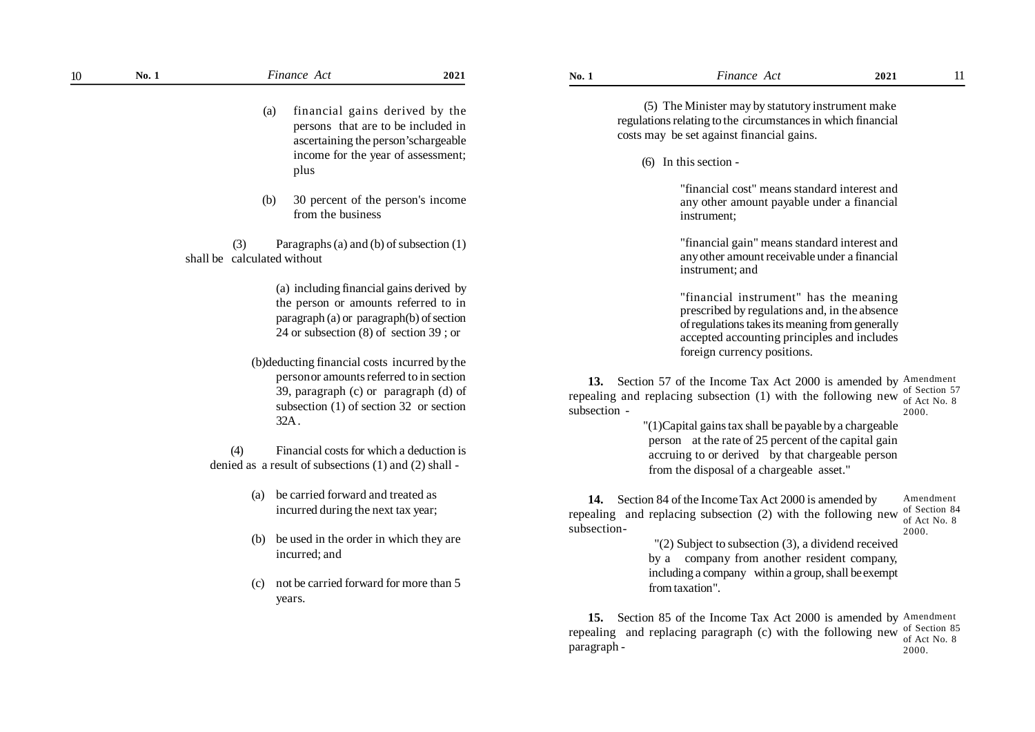- (a) financial gains derived by the persons that are to be included in ascertaining the person'schargeable income for the year of assessment;
- (b) 30 percent of the person's income from the business

 (3) Paragraphs (a) and (b) of subsection (1) shall be calculated without

plus

(a) including financial gains derived by the person or amounts referred to in paragraph (a) or paragraph(b) of section 24 or subsection (8) of section 39 ; or

(b)deducting financial costs incurred by the personor amounts referred to in section 39, paragraph (c) or paragraph (d) of subsection (1) of section 32 or section 32A .

(4) Financial costs for which a deduction is denied as a result of subsections (1) and (2) shall -

- (a) be carried forward and treated as incurred during the next tax year;
- (b) be used in the order in which they are incurred; and
- (c) not be carried forward for more than 5 years.

 (5) The Minister may by statutory instrument make regulations relating to the circumstances in which financial costs may be set against financial gains.

(6) In this section -

"financial cost" means standard interest and any other amount payable under a financial instrument;

"financial gain" means standard interest and any other amount receivable under a financial instrument; and

"financial instrument" has the meaning prescribed by regulations and, in the absence of regulations takes its meaning from generally accepted accounting principles and includes foreign currency positions.

13. Section 57 of the Income Tax Act 2000 is amended by Amendment repealing and replacing subsection (1) with the following new of Section 57 subsection of Act No. 8 2000.

> "(1)Capital gains tax shall be payable by a chargeable person at the rate of 25 percent of the capital gain accruing to or derived by that chargeable person from the disposal of a chargeable asset."

**14.** Section 84 of the Income Tax Act 2000 is amended by repealing and replacing subsection (2) with the following new subsection-

Amendment of Section 84 of Act No. 8 2000.

 "(2) Subject to subsection (3), a dividend received by a company from another resident company, including a company within a group, shall be exempt from taxation".

**15.** Section 85 of the Income Tax Act 2000 is amended by Amendment repealing and replacing paragraph (c) with the following new of Section 85 paragraph of Act No. 8 2000.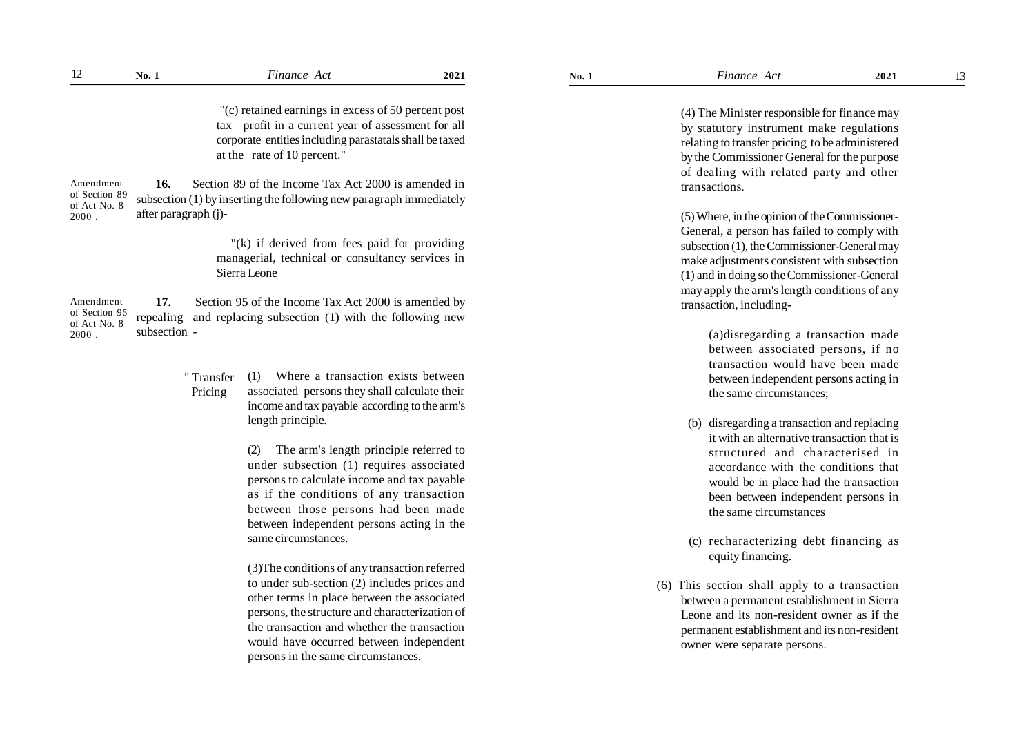"(c) retained earnings in excess of 50 percent post tax profit in a current year of assessment for all corporate entities including parastatals shall be taxed at the rate of 10 percent."

**16.** Section 89 of the Income Tax Act 2000 is amended in subsection (1) by inserting the following new paragraph immediately after paragraph (j)- Amendment of Section 89 of Act No. 8 2000 .

> "(k) if derived from fees paid for providing managerial, technical or consultancy services in Sierra Leone

**17.** Section 95 of the Income Tax Act 2000 is amended by repealing and replacing subsection (1) with the following new subsection - Amendment of Section 95 of Act No. 8 2000 .

> (1) Where a transaction exists between associated persons they shall calculate their income and tax payable according to the arm's length principle. " Transfer Pricing

> > (2) The arm's length principle referred to under subsection (1) requires associated persons to calculate income and tax payable as if the conditions of any transaction between those persons had been made between independent persons acting in the same circumstances.

> > (3)The conditions of any transaction referred to under sub-section (2) includes prices and other terms in place between the associated persons, the structure and characterization of the transaction and whether the transaction would have occurred between independent persons in the same circumstances.

(4) The Minister responsible for finance may by statutory instrument make regulations relating to transfer pricing to be administered by the Commissioner General for the purpose of dealing with related party and other transactions.

(5) Where, in the opinion of the Commissioner-General, a person has failed to comply with subsection (1), the Commissioner-General may make adjustments consistent with subsection (1) and in doing so the Commissioner-General may apply the arm's length conditions of any transaction, including-

> (a)disregarding a transaction made between associated persons, if no transaction would have been made between independent persons acting in the same circumstances;

- (b) disregarding a transaction and replacing it with an alternative transaction that is structured and characterised in accordance with the conditions that would be in place had the transaction been between independent persons in the same circumstances
- (c) recharacterizing debt financing as equity financing.
- (6) This section shall apply to a transaction between a permanent establishment in Sierra Leone and its non-resident owner as if the permanent establishment and its non-resident owner were separate persons.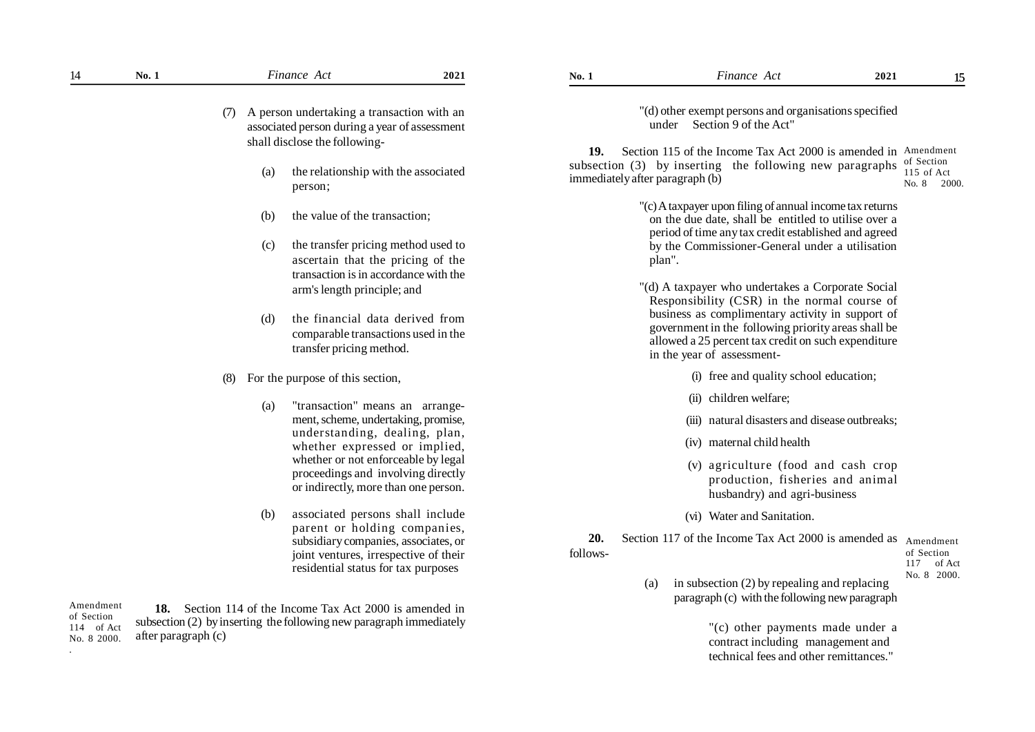(7) A person undertaking a transaction with an associated person during a year of assessment shall disclose the following-

- (a) the relationship with the associated person;
- (b) the value of the transaction;
- (c) the transfer pricing method used to ascertain that the pricing of the transaction is in accordance with the arm's length principle; and
- (d) the financial data derived from comparable transactions used in the transfer pricing method.
- (8) For the purpose of this section,
	- (a) "transaction" means an arrangement, scheme, undertaking, promise, understanding, dealing, plan, whether expressed or implied, whether or not enforceable by legal proceedings and involving directly or indirectly, more than one person.
	- (b) associated persons shall include parent or holding companies, subsidiary companies, associates, or joint ventures, irrespective of their residential status for tax purposes

**18.** Section 114 of the Income Tax Act 2000 is amended in subsection (2) by inserting the following new paragraph immediately after paragraph (c) Amendment of Section 114 of Act No. 8 2000.

.

"(d) other exempt persons and organisations specified under Section 9 of the Act"

**19.** Section 115 of the Income Tax Act 2000 is amended in Amendment subsection (3) by inserting the following new paragraphs immediately after paragraph (b) of Section 115 of Act No. 8 2000.

> "(c) A taxpayer upon filing of annual income tax returns on the due date, shall be entitled to utilise over a period of time any tax credit established and agreed by the Commissioner-General under a utilisation plan".

- "(d) A taxpayer who undertakes a Corporate Social Responsibility (CSR) in the normal course of business as complimentary activity in support of government in the following priority areas shall be allowed a 25 percent tax credit on such expenditure in the year of assessment-
	- (i) free and quality school education;
	- (ii) children welfare;
	- (iii) natural disasters and disease outbreaks;
	- (iv) maternal child health
	- (v) agriculture (food and cash crop production, fisheries and animal husbandry) and agri-business
	- (vi) Water and Sanitation.

20. Section 117 of the Income Tax Act 2000 is amended as Amendment follows-

of Section 117 of Act No. 8 2000.

 (a) in subsection (2) by repealing and replacing paragraph (c) with the following new paragraph

> "(c) other payments made under a contract including management and technical fees and other remittances."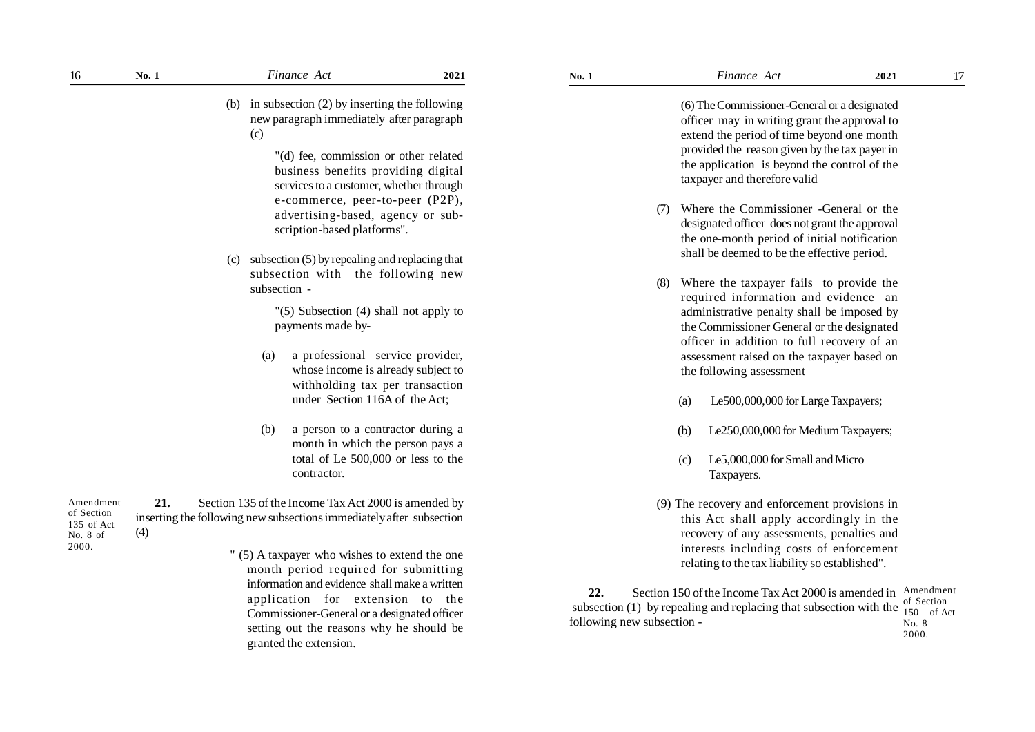(b) in subsection (2) by inserting the following new paragraph immediately after paragraph (c)

> "(d) fee, commission or other related business benefits providing digital services to a customer, whether through e-commerce, peer-to-peer (P2P), advertising-based, agency or subscription-based platforms".

(c) subsection (5) by repealing and replacing that subsection with the following new subsection -

> "(5) Subsection (4) shall not apply to payments made by-

- (a) a professional service provider, whose income is already subject to withholding tax per transaction under Section 116A of the Act;
- (b) a person to a contractor during a month in which the person pays a total of Le 500,000 or less to the contractor.

**21.** Section 135 of the Income Tax Act 2000 is amended by inserting the following new subsections immediately after subsection (4) Amendment of Section 135 of Act No. 8 of 2000.

 " (5) A taxpayer who wishes to extend the one month period required for submitting information and evidence shall make a written application for extension to the Commissioner-General or a designated officer setting out the reasons why he should be granted the extension.

(6) The Commissioner-General or a designated officer may in writing grant the approval to extend the period of time beyond one month provided the reason given by the tax payer in the application is beyond the control of the taxpayer and therefore valid

- (7) Where the Commissioner -General or the designated officer does not grant the approval the one-month period of initial notification shall be deemed to be the effective period.
- (8) Where the taxpayer fails to provide the required information and evidence an administrative penalty shall be imposed by the Commissioner General or the designated officer in addition to full recovery of an assessment raised on the taxpayer based on the following assessment
	- (a) Le500,000,000 for Large Taxpayers;
	- (b) Le250,000,000 for Medium Taxpayers;
	- (c) Le5,000,000 for Small and Micro Taxpayers.
- (9) The recovery and enforcement provisions in this Act shall apply accordingly in the recovery of any assessments, penalties and interests including costs of enforcement relating to the tax liability so established".

22. Section 150 of the Income Tax Act 2000 is amended in Amendment subsection (1) by repealing and replacing that subsection with the following new subsection - No. 8

of Section 150 of Act 2000.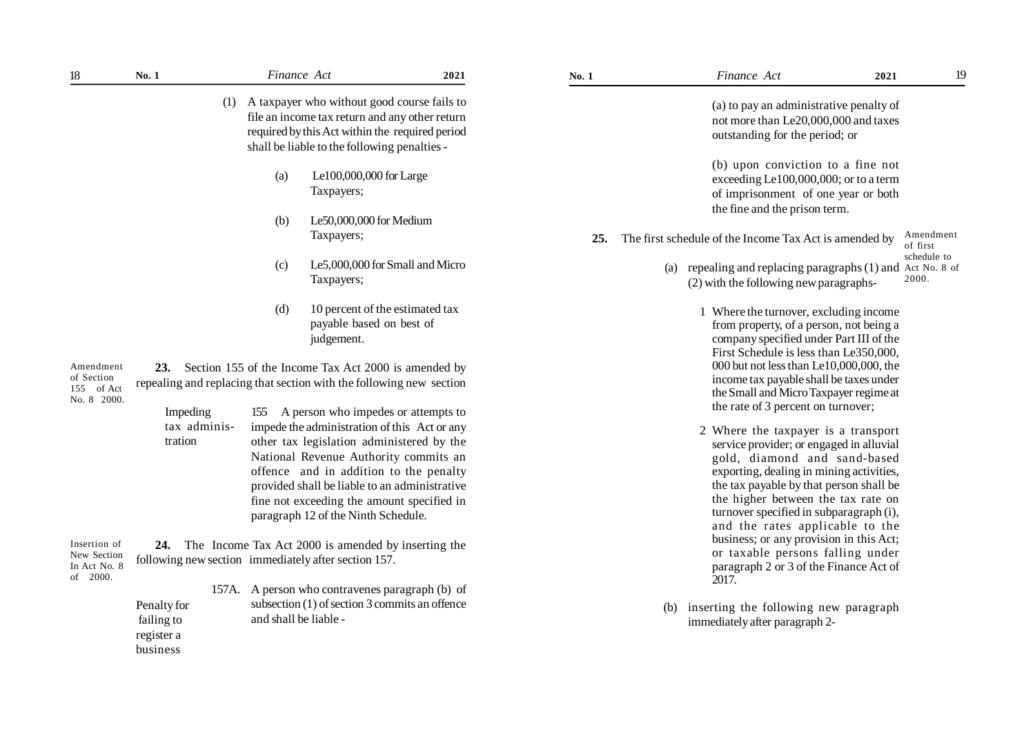| 18                                                   | No. 1                                                                                                                                                                                                   | Finance Act           | 2021                                                                                                                        | No. 1                                                                                                             | Finance Act                                                                                                                                                            | 19<br>2021            |
|------------------------------------------------------|---------------------------------------------------------------------------------------------------------------------------------------------------------------------------------------------------------|-----------------------|-----------------------------------------------------------------------------------------------------------------------------|-------------------------------------------------------------------------------------------------------------------|------------------------------------------------------------------------------------------------------------------------------------------------------------------------|-----------------------|
|                                                      | A taxpayer who without good course fails to<br>(1)<br>file an income tax return and any other return<br>required by this Act within the required period<br>shall be liable to the following penalties - |                       |                                                                                                                             | (a) to pay an administrative penalty of<br>not more than Le20,000,000 and taxes<br>outstanding for the period; or |                                                                                                                                                                        |                       |
|                                                      |                                                                                                                                                                                                         | (a)                   | Le100,000,000 for Large<br>Taxpayers;                                                                                       |                                                                                                                   | (b) upon conviction to a fine not<br>exceeding Le100,000,000; or to a term<br>of imprisonment of one year or both                                                      |                       |
|                                                      |                                                                                                                                                                                                         | (b)                   | Le50,000,000 for Medium                                                                                                     |                                                                                                                   | the fine and the prison term.                                                                                                                                          |                       |
|                                                      |                                                                                                                                                                                                         |                       | Taxpayers;                                                                                                                  | 25.                                                                                                               | The first schedule of the Income Tax Act is amended by                                                                                                                 | Amendment<br>of first |
|                                                      |                                                                                                                                                                                                         | (c)                   | Le5,000,000 for Small and Micro<br>Taxpayers;                                                                               |                                                                                                                   | (a) repealing and replacing paragraphs (1) and Act No. 8 of<br>(2) with the following new paragraphs-                                                                  | schedule to<br>2000.  |
|                                                      |                                                                                                                                                                                                         | (d)                   | 10 percent of the estimated tax<br>payable based on best of<br>judgement.                                                   |                                                                                                                   | 1 Where the turnover, excluding income<br>from property, of a person, not being a<br>company specified under Part III of the<br>First Schedule is less than Le350,000, |                       |
| Amendment<br>of Section<br>155 of Act<br>No. 8 2000. | <b>23.</b>                                                                                                                                                                                              |                       | Section 155 of the Income Tax Act 2000 is amended by<br>repealing and replacing that section with the following new section |                                                                                                                   | 000 but not less than Le10,000,000, the<br>income tax payable shall be taxes under<br>the Small and Micro Taxpayer regime at<br>the rate of 3 percent on turnover;     |                       |
|                                                      | Impeding<br>tax adminis-                                                                                                                                                                                |                       | 155 A person who impedes or attempts to<br>impede the administration of this Act or any                                     |                                                                                                                   | 2 Where the taxpayer is a transport                                                                                                                                    |                       |
|                                                      | tration                                                                                                                                                                                                 |                       | other tax legislation administered by the                                                                                   |                                                                                                                   | service provider; or engaged in alluvial                                                                                                                               |                       |
|                                                      |                                                                                                                                                                                                         |                       | National Revenue Authority commits an                                                                                       |                                                                                                                   | gold, diamond and sand-based                                                                                                                                           |                       |
|                                                      |                                                                                                                                                                                                         |                       | offence and in addition to the penalty                                                                                      |                                                                                                                   | exporting, dealing in mining activities,                                                                                                                               |                       |
|                                                      |                                                                                                                                                                                                         |                       | provided shall be liable to an administrative<br>fine not exceeding the amount specified in                                 |                                                                                                                   | the tax payable by that person shall be<br>the higher between the tax rate on                                                                                          |                       |
|                                                      |                                                                                                                                                                                                         |                       | paragraph 12 of the Ninth Schedule.                                                                                         |                                                                                                                   | turnover specified in subparagraph (i),<br>and the rates applicable to the                                                                                             |                       |
| Insertion of<br>New Section<br>In Act No. 8          | 24.<br>following new section immediately after section 157.                                                                                                                                             |                       | The Income Tax Act 2000 is amended by inserting the                                                                         |                                                                                                                   | business; or any provision in this Act;<br>or taxable persons falling under<br>paragraph 2 or 3 of the Finance Act of                                                  |                       |
| of 2000.                                             |                                                                                                                                                                                                         |                       |                                                                                                                             |                                                                                                                   | 2017.                                                                                                                                                                  |                       |
|                                                      |                                                                                                                                                                                                         |                       | 157A. A person who contravenes paragraph (b) of<br>subsection $(1)$ of section 3 commits an offence                         |                                                                                                                   |                                                                                                                                                                        |                       |
|                                                      | Penalty for<br>failing to<br>register a<br>business                                                                                                                                                     | and shall be liable - |                                                                                                                             |                                                                                                                   | inserting the following new paragraph<br>(b)<br>immediately after paragraph 2-                                                                                         |                       |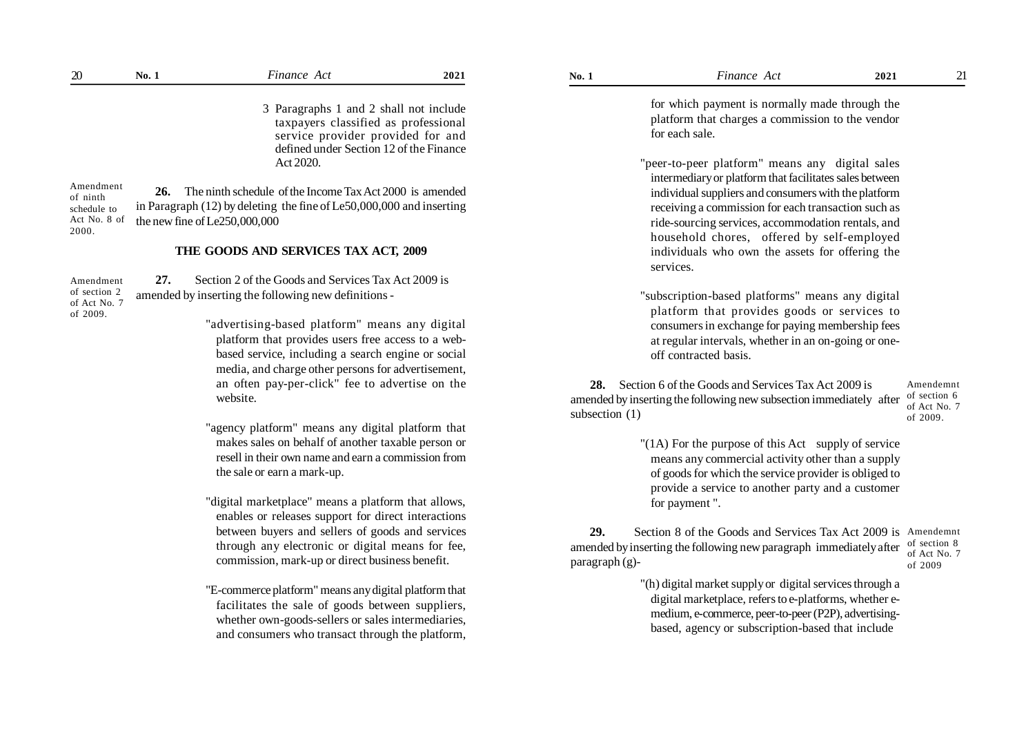service provider provided for and defined under Section 12 of the Finance Act 2020.

**26.** The ninth schedule of the Income Tax Act 2000 is amended in Paragraph (12) by deleting the fine of Le50,000,000 and inserting the new fine of Le250,000,000 Amendment of ninth schedule to Act No. 8 of 2000.

#### **THE GOODS AND SERVICES TAX ACT, 2009**

 **27.** Section 2 of the Goods and Services Tax Act 2009 is amended by inserting the following new definitions - Amendment of section 2 of Act No. 7 of 2009.

> "advertising-based platform" means any digital platform that provides users free access to a webbased service, including a search engine or social media, and charge other persons for advertisement, an often pay-per-click" fee to advertise on the website.

- "agency platform" means any digital platform that makes sales on behalf of another taxable person or resell in their own name and earn a commission from the sale or earn a mark-up.
- "digital marketplace" means a platform that allows, enables or releases support for direct interactions between buyers and sellers of goods and services through any electronic or digital means for fee, commission, mark-up or direct business benefit.
- "E-commerce platform" means any digital platform that facilitates the sale of goods between suppliers, whether own-goods-sellers or sales intermediaries, and consumers who transact through the platform,

for which payment is normally made through the platform that charges a commission to the vendor for each sale.

- "peer-to-peer platform" means any digital sales intermediary or platform that facilitates sales between individual suppliers and consumers with the platform receiving a commission for each transaction such as ride-sourcing services, accommodation rentals, and household chores, offered by self-employed individuals who own the assets for offering the services.
- "subscription-based platforms" means any digital platform that provides goods or services to consumers in exchange for paying membership fees at regular intervals, whether in an on-going or oneoff contracted basis.

**28.** Section 6 of the Goods and Services Tax Act 2009 is amended by inserting the following new subsection immediately after subsection (1)

Amendemnt of section 6 of Act No. 7 of 2009.

"(1A) For the purpose of this Act supply of service means any commercial activity other than a supply of goods for which the service provider is obliged to provide a service to another party and a customer for payment ".

**29.** Section 8 of the Goods and Services Tax Act 2009 is Amendemnt amended by inserting the following new paragraph immediately after paragraph (g) of section 8 of Act No. 7 of 2009

> "(h) digital market supply or digital services through a digital marketplace, refers to e-platforms, whether emedium, e-commerce, peer-to-peer (P2P), advertisingbased, agency or subscription-based that include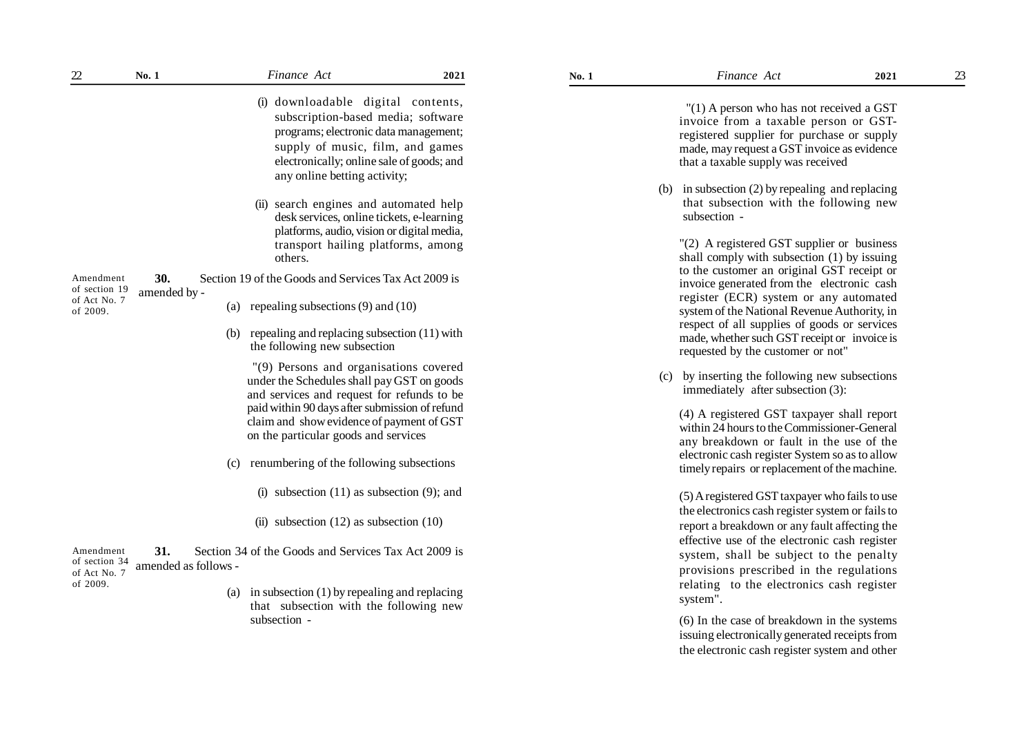| $\frac{22}{1}$                                         | No. 1                       | Finance Act                                                                                                                                                                                                                                                                                                           | 2021 | No. 1 |     | Finance Act                                                                                                                                                                                                                                                                    | 2021 |
|--------------------------------------------------------|-----------------------------|-----------------------------------------------------------------------------------------------------------------------------------------------------------------------------------------------------------------------------------------------------------------------------------------------------------------------|------|-------|-----|--------------------------------------------------------------------------------------------------------------------------------------------------------------------------------------------------------------------------------------------------------------------------------|------|
|                                                        |                             | (i) downloadable digital contents,<br>subscription-based media; software<br>programs; electronic data management;<br>supply of music, film, and games<br>electronically; online sale of goods; and<br>any online betting activity;                                                                                    |      |       |     | $"(1)$ A person who has not received a GST<br>invoice from a taxable person or GST-<br>registered supplier for purchase or supply<br>made, may request a GST invoice as evidence<br>that a taxable supply was received                                                         |      |
|                                                        |                             | (ii) search engines and automated help<br>desk services, online tickets, e-learning<br>platforms, audio, vision or digital media,                                                                                                                                                                                     |      |       | (b) | in subsection (2) by repealing and replacing<br>that subsection with the following new<br>subsection -                                                                                                                                                                         |      |
|                                                        |                             | transport hailing platforms, among<br>others.                                                                                                                                                                                                                                                                         |      |       |     | "(2) A registered GST supplier or business<br>shall comply with subsection (1) by issuing<br>to the customer an original GST receipt or                                                                                                                                        |      |
| Amendment<br>of section 19<br>of Act No. 7<br>of 2009. | 30.<br>amended by -         | Section 19 of the Goods and Services Tax Act 2009 is<br>(a) repeating subsections $(9)$ and $(10)$                                                                                                                                                                                                                    |      |       |     | invoice generated from the electronic cash<br>register (ECR) system or any automated<br>system of the National Revenue Authority, in                                                                                                                                           |      |
|                                                        | (b)                         | repealing and replacing subsection (11) with<br>the following new subsection                                                                                                                                                                                                                                          |      |       |     | respect of all supplies of goods or services<br>made, whether such GST receipt or invoice is<br>requested by the customer or not"                                                                                                                                              |      |
|                                                        | (c)                         | "(9) Persons and organisations covered<br>under the Schedules shall pay GST on goods<br>and services and request for refunds to be<br>paid within 90 days after submission of refund<br>claim and show evidence of payment of GST<br>on the particular goods and services<br>renumbering of the following subsections |      |       |     | (c) by inserting the following new subsections<br>immediately after subsection (3):<br>(4) A registered GST taxpayer shall report<br>within 24 hours to the Commissioner-General<br>any breakdown or fault in the use of the<br>electronic cash register System so as to allow |      |
|                                                        |                             | (i) subsection $(11)$ as subsection $(9)$ ; and                                                                                                                                                                                                                                                                       |      |       |     | timely repairs or replacement of the machine.<br>(5) A registered GST taxpayer who fails to use                                                                                                                                                                                |      |
|                                                        |                             | (ii) subsection $(12)$ as subsection $(10)$                                                                                                                                                                                                                                                                           |      |       |     | the electronics cash register system or fails to<br>report a breakdown or any fault affecting the                                                                                                                                                                              |      |
| Amendment<br>of section 34<br>of Act No. 7<br>of 2009. | 31.<br>amended as follows - | Section 34 of the Goods and Services Tax Act 2009 is                                                                                                                                                                                                                                                                  |      |       |     | effective use of the electronic cash register<br>system, shall be subject to the penalty<br>provisions prescribed in the regulations                                                                                                                                           |      |
|                                                        | (a)                         | in subsection $(1)$ by repealing and replacing<br>that subsection with the following new                                                                                                                                                                                                                              |      |       |     | relating to the electronics cash register<br>system".                                                                                                                                                                                                                          |      |
|                                                        |                             | subsection -                                                                                                                                                                                                                                                                                                          |      |       |     | (6) In the case of breakdown in the systems<br>issuing electronically generated receipts from                                                                                                                                                                                  |      |

the electronic cash register system and other

 $\frac{23}{2}$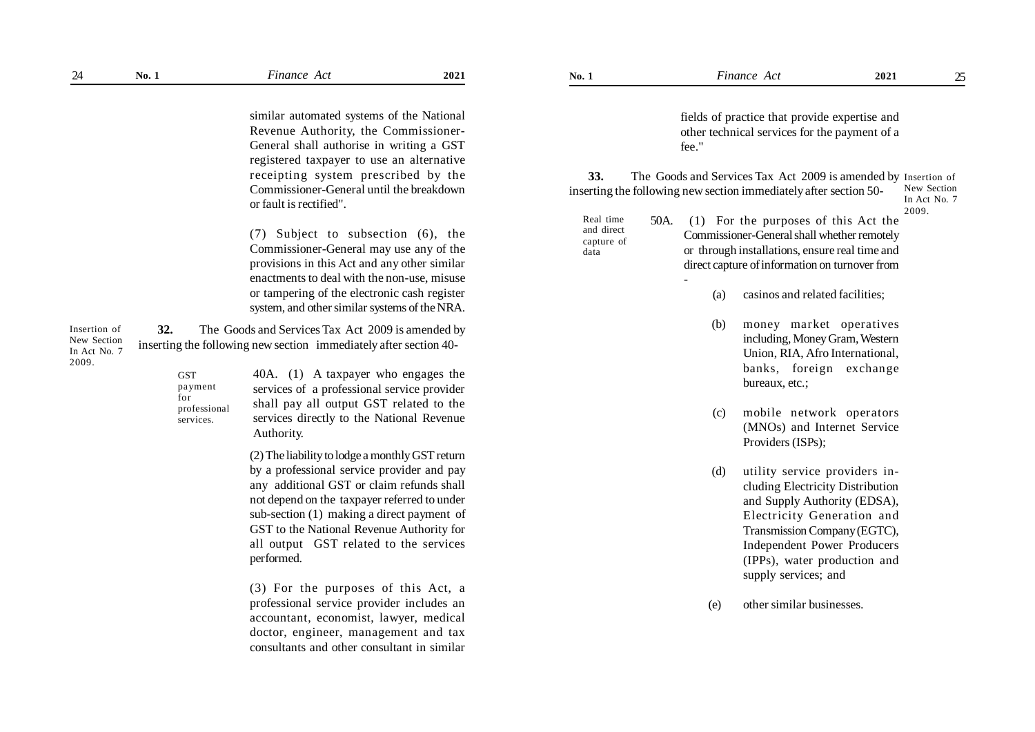24

fee."

-

25

fields of practice that provide expertise and other technical services for the payment of a

**33.** The Goods and Services Tax Act 2009 is amended by Insertion of inserting the following new section immediately after section 50- New Section In Act No. 7 2009.

50A. (1) For the purposes of this Act the Commissioner-General shall whether remotely or through installations, ensure real time and direct capture of information on turnover from Real time and direct capture of data

- (a) casinos and related facilities;
- (b) money market operatives including, Money Gram, Western Union, RIA, Afro International, banks, foreign exchange bureaux, etc.;
- (c) mobile network operators (MNOs) and Internet Service Providers (ISPs);
- (d) utility service providers including Electricity Distribution and Supply Authority (EDSA), Electricity Generation and Transmission Company (EGTC), Independent Power Producers (IPPs), water production and supply services; and
- (e) other similar businesses.

Insertion of New Section In Act No. 7 2009.

**32.** The Goods and Services Tax Act 2009 is amended by inserting the following new section immediately after section 40-

or fault is rectified".

**GST** payment for professional services.

40A. (1) A taxpayer who engages the services of a professional service provider shall pay all output GST related to the services directly to the National Revenue Authority.

similar automated systems of the National Revenue Authority, the Commissioner-General shall authorise in writing a GST registered taxpayer to use an alternative receipting system prescribed by the Commissioner-General until the breakdown

(7) Subject to subsection (6), the Commissioner-General may use any of the provisions in this Act and any other similar enactments to deal with the non-use, misuse or tampering of the electronic cash register system, and other similar systems of the NRA.

(2) The liability to lodge a monthly GST return by a professional service provider and pay any additional GST or claim refunds shall not depend on the taxpayer referred to under sub-section (1) making a direct payment of GST to the National Revenue Authority for all output GST related to the services performed.

(3) For the purposes of this Act, a professional service provider includes an accountant, economist, lawyer, medical doctor, engineer, management and tax consultants and other consultant in similar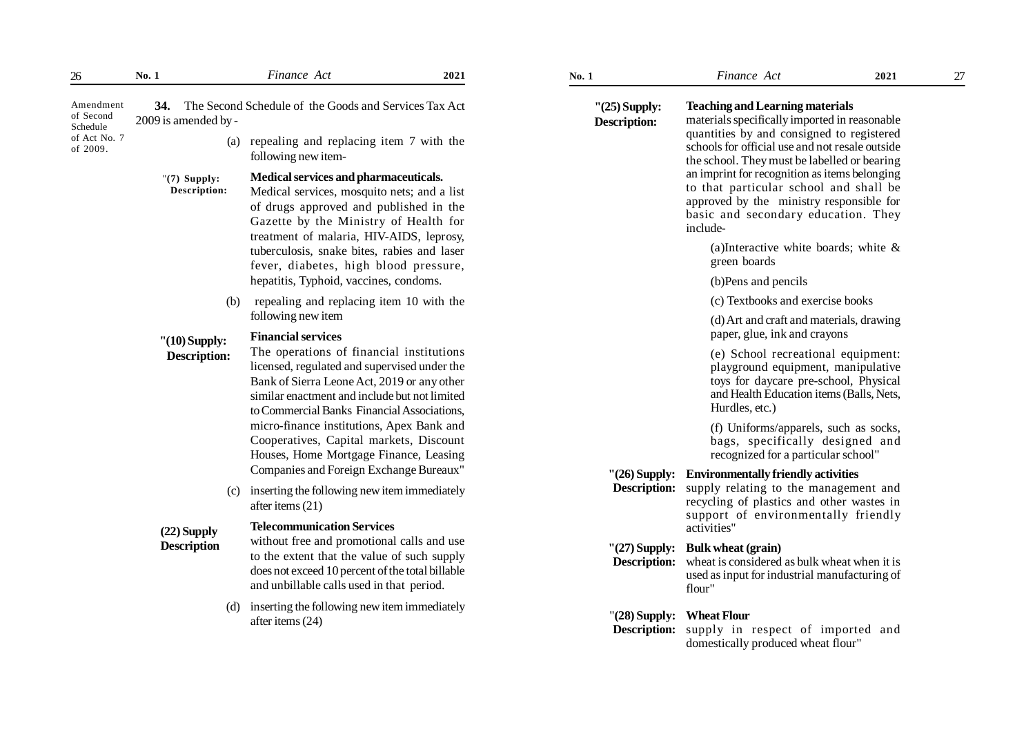| 34. The Second Schedule of the Goods and Services Tax Act<br>Amendment<br>$"(25)$ Supply:<br>of Second<br>2009 is amended by -<br><b>Description:</b><br>Schedule<br>of Act No. 7<br>(a) repealing and replacing item 7 with the<br>of 2009.                           | <b>Teaching and Learning materials</b><br>materials specifically imported in reasonable<br>quantities by and consigned to registered<br>schools for official use and not resale outside<br>the school. They must be labelled or bearing<br>an imprint for recognition as items belonging<br>to that particular school and shall be |
|------------------------------------------------------------------------------------------------------------------------------------------------------------------------------------------------------------------------------------------------------------------------|------------------------------------------------------------------------------------------------------------------------------------------------------------------------------------------------------------------------------------------------------------------------------------------------------------------------------------|
| following new item-                                                                                                                                                                                                                                                    |                                                                                                                                                                                                                                                                                                                                    |
| Medical services and pharmaceuticals.<br>" $(7)$ Supply:<br>Description:<br>Medical services, mosquito nets; and a list<br>of drugs approved and published in the<br>Gazette by the Ministry of Health for<br>treatment of malaria, HIV-AIDS, leprosy,                 | approved by the ministry responsible for<br>basic and secondary education. They<br>include-                                                                                                                                                                                                                                        |
| tuberculosis, snake bites, rabies and laser<br>fever, diabetes, high blood pressure,                                                                                                                                                                                   | (a) Interactive white boards; white $\&$<br>green boards                                                                                                                                                                                                                                                                           |
| hepatitis, Typhoid, vaccines, condoms.                                                                                                                                                                                                                                 | (b) Pens and pencils                                                                                                                                                                                                                                                                                                               |
| repealing and replacing item 10 with the<br>(b)                                                                                                                                                                                                                        | (c) Textbooks and exercise books                                                                                                                                                                                                                                                                                                   |
| following new item<br><b>Financial services</b><br>$"(10)$ Supply:                                                                                                                                                                                                     | (d) Art and craft and materials, drawing<br>paper, glue, ink and crayons                                                                                                                                                                                                                                                           |
| The operations of financial institutions<br>Description:<br>licensed, regulated and supervised under the<br>Bank of Sierra Leone Act, 2019 or any other<br>similar enactment and include but not limited<br>to Commercial Banks Financial Associations,                | (e) School recreational equipment:<br>playground equipment, manipulative<br>toys for daycare pre-school, Physical<br>and Health Education items (Balls, Nets,<br>Hurdles, etc.)                                                                                                                                                    |
| micro-finance institutions, Apex Bank and<br>Cooperatives, Capital markets, Discount<br>Houses, Home Mortgage Finance, Leasing                                                                                                                                         | (f) Uniforms/apparels, such as socks,<br>bags, specifically designed and<br>recognized for a particular school"                                                                                                                                                                                                                    |
| Companies and Foreign Exchange Bureaux"<br>inserting the following new item immediately<br>(c)<br>after items (21)                                                                                                                                                     | $"(26)$ Supply:<br><b>Environmentally friendly activities</b><br><b>Description:</b> supply relating to the management and<br>recycling of plastics and other wastes in<br>support of environmentally friendly                                                                                                                     |
| <b>Telecommunication Services</b><br>$(22)$ Supply<br>without free and promotional calls and use<br><b>Description</b><br>to the extent that the value of such supply<br>does not exceed 10 percent of the total billable<br>and unbillable calls used in that period. | activities"<br>$"(27)$ Supply:<br><b>Bulk wheat (grain)</b><br>wheat is considered as bulk wheat when it is<br><b>Description:</b><br>used as input for industrial manufacturing of<br>flour"                                                                                                                                      |
| inserting the following new item immediately<br>(d)<br>after items (24)                                                                                                                                                                                                | $"(28)$ Supply:<br><b>Wheat Flour</b><br>Description: supply in respect of imported and<br>domestically produced wheat flour"                                                                                                                                                                                                      |

26

27

|                                        | an imprint for recognition as items belonging<br>to that particular school and shall be<br>approved by the ministry responsible for<br>basic and secondary education. They<br>include- |
|----------------------------------------|----------------------------------------------------------------------------------------------------------------------------------------------------------------------------------------|
|                                        | (a)Interactive white boards; white $\&$<br>green boards                                                                                                                                |
|                                        | (b) Pens and pencils                                                                                                                                                                   |
|                                        | (c) Textbooks and exercise books                                                                                                                                                       |
|                                        | (d) Art and craft and materials, drawing<br>paper, glue, ink and crayons                                                                                                               |
|                                        | (e) School recreational equipment:<br>playground equipment, manipulative<br>toys for daycare pre-school, Physical<br>and Health Education items (Balls, Nets,<br>Hurdles, etc.)        |
|                                        | (f) Uniforms/apparels, such as socks,<br>bags, specifically designed and<br>recognized for a particular school"                                                                        |
| $"(26)$ Supply:                        | <b>Environmentally friendly activities</b>                                                                                                                                             |
| Description:                           | supply relating to the management and<br>recycling of plastics and other wastes in<br>support of environmentally friendly<br>activities"                                               |
| $"(27)$ Supply:<br><b>Description:</b> | <b>Bulk wheat (grain)</b><br>wheat is considered as bulk wheat when it is<br>used as input for industrial manufacturing of<br>flour"                                                   |
|                                        |                                                                                                                                                                                        |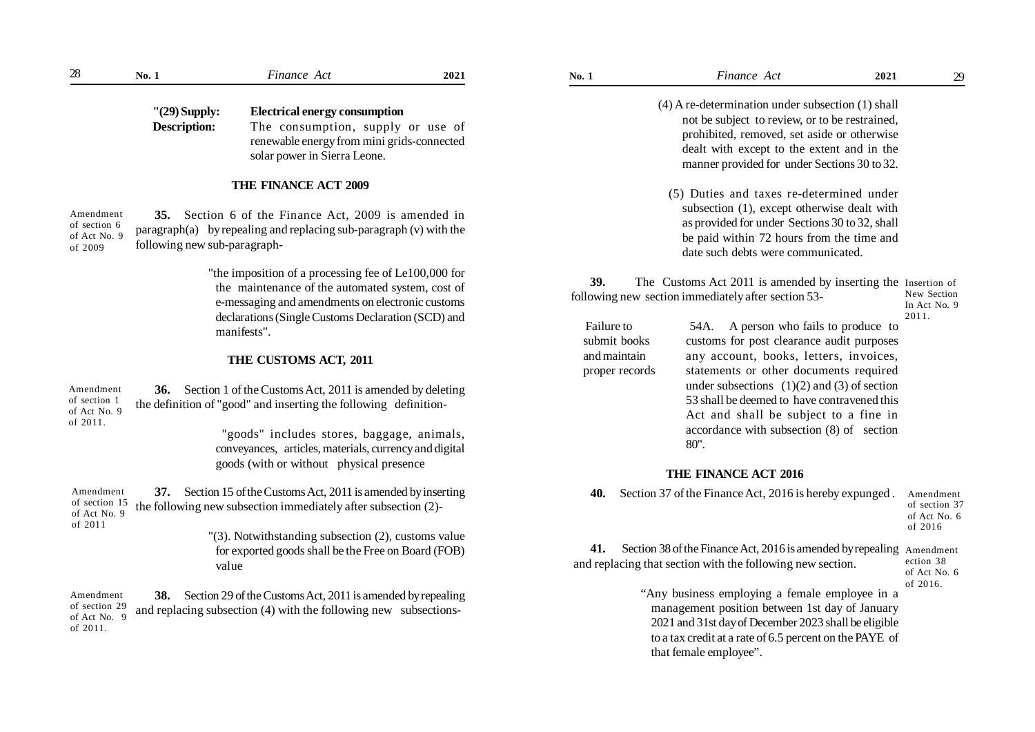| 28                                                     | No. 1                                                                                                                                                                              | Finance Act                                                                                                                                                                                                                       | 2021 | No. 1                                                                                                                                                                                                                        | Finance Act                                                                                                                                                                                                                                          | 2021 | 29                                                    |  |
|--------------------------------------------------------|------------------------------------------------------------------------------------------------------------------------------------------------------------------------------------|-----------------------------------------------------------------------------------------------------------------------------------------------------------------------------------------------------------------------------------|------|------------------------------------------------------------------------------------------------------------------------------------------------------------------------------------------------------------------------------|------------------------------------------------------------------------------------------------------------------------------------------------------------------------------------------------------------------------------------------------------|------|-------------------------------------------------------|--|
|                                                        | $"(29)$ Supply:<br><b>Description:</b>                                                                                                                                             | <b>Electrical energy consumption</b><br>The consumption, supply or use of<br>renewable energy from mini grids-connected<br>solar power in Sierra Leone.                                                                           |      |                                                                                                                                                                                                                              | $(4)$ A re-determination under subsection $(1)$ shall<br>not be subject to review, or to be restrained,<br>prohibited, removed, set aside or otherwise<br>dealt with except to the extent and in the<br>manner provided for under Sections 30 to 32. |      |                                                       |  |
|                                                        |                                                                                                                                                                                    | THE FINANCE ACT 2009                                                                                                                                                                                                              |      |                                                                                                                                                                                                                              |                                                                                                                                                                                                                                                      |      |                                                       |  |
| Amendment<br>of section 6<br>of Act No. 9<br>of 2009   | following new sub-paragraph-                                                                                                                                                       | 35. Section 6 of the Finance Act, 2009 is amended in<br>paragraph(a) by repealing and replacing sub-paragraph (v) with the                                                                                                        |      | (5) Duties and taxes re-determined under<br>subsection (1), except otherwise dealt with<br>as provided for under Sections 30 to 32, shall<br>be paid within 72 hours from the time and<br>date such debts were communicated. |                                                                                                                                                                                                                                                      |      |                                                       |  |
|                                                        |                                                                                                                                                                                    | "the imposition of a processing fee of Le100,000 for<br>the maintenance of the automated system, cost of<br>e-messaging and amendments on electronic customs<br>declarations (Single Customs Declaration (SCD) and<br>manifests". |      | 39.<br>Failure to                                                                                                                                                                                                            | The Customs Act 2011 is amended by inserting the Insertion of<br>following new section immediately after section 53-<br>54A. A person who fails to produce to                                                                                        |      | New Section<br>In Act No. 9<br>2011.                  |  |
|                                                        |                                                                                                                                                                                    | THE CUSTOMS ACT, 2011                                                                                                                                                                                                             |      | submit books<br>and maintain<br>proper records                                                                                                                                                                               | customs for post clearance audit purposes<br>any account, books, letters, invoices,<br>statements or other documents required                                                                                                                        |      |                                                       |  |
| Amendment<br>of section 1<br>of Act No. 9<br>of 2011.  | Section 1 of the Customs Act, 2011 is amended by deleting<br>36.<br>the definition of "good" and inserting the following definition-<br>"goods" includes stores, baggage, animals, |                                                                                                                                                                                                                                   |      |                                                                                                                                                                                                                              | under subsections $(1)(2)$ and $(3)$ of section<br>53 shall be deemed to have contravened this<br>Act and shall be subject to a fine in<br>accordance with subsection (8) of section                                                                 |      |                                                       |  |
|                                                        |                                                                                                                                                                                    | conveyances, articles, materials, currency and digital                                                                                                                                                                            |      |                                                                                                                                                                                                                              | 80".                                                                                                                                                                                                                                                 |      |                                                       |  |
|                                                        |                                                                                                                                                                                    | goods (with or without physical presence                                                                                                                                                                                          |      |                                                                                                                                                                                                                              | THE FINANCE ACT 2016                                                                                                                                                                                                                                 |      |                                                       |  |
| Amendment<br>of section 15<br>of Act No. 9<br>of 2011  |                                                                                                                                                                                    | 37. Section 15 of the Customs Act, 2011 is amended by inserting<br>the following new subsection immediately after subsection (2)-                                                                                                 |      | 40.                                                                                                                                                                                                                          | Section 37 of the Finance Act, 2016 is hereby expunged.                                                                                                                                                                                              |      | Amendment<br>of section 37<br>of Act No. 6<br>of 2016 |  |
|                                                        | value                                                                                                                                                                              | "(3). Notwithstanding subsection (2), customs value<br>for exported goods shall be the Free on Board (FOB)                                                                                                                        |      | 41.                                                                                                                                                                                                                          | Section 38 of the Finance Act, 2016 is amended by repealing Amendment<br>and replacing that section with the following new section.                                                                                                                  |      | ection 38<br>of Act No. 6                             |  |
| Amendment<br>of section 29<br>of Act No. 9<br>of 2011. | 38.                                                                                                                                                                                | Section 29 of the Customs Act, 2011 is amended by repealing<br>and replacing subsection (4) with the following new subsections-                                                                                                   |      |                                                                                                                                                                                                                              | "Any business employing a female employee in a<br>management position between 1st day of January<br>2021 and 31st day of December 2023 shall be eligible<br>to a tax credit at a rate of 6.5 percent on the PAYE of<br>that female employee".        |      | of 2016.                                              |  |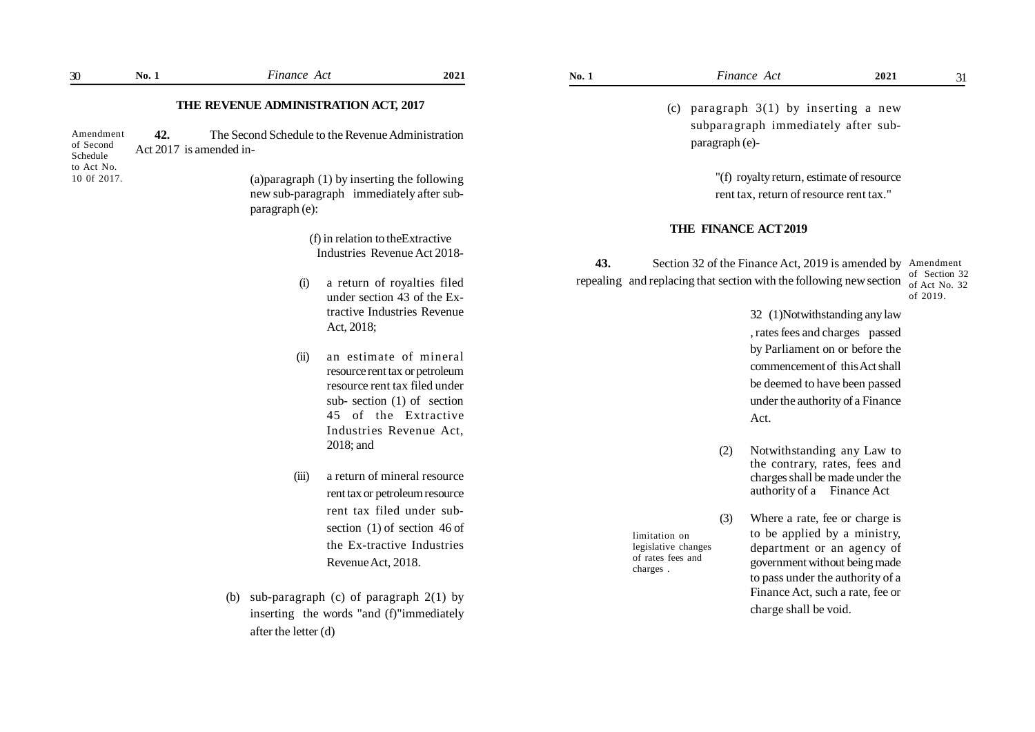| 30                                    | No. 1                          | Finance Act                   |                                                                                                                                                                                                                                                                                                                                               | 2021 | No. 1 |                                                                       | Finance Act                                                                                                                                                                                                                                                                                                                                                                          | 2021 | 31                                         |
|---------------------------------------|--------------------------------|-------------------------------|-----------------------------------------------------------------------------------------------------------------------------------------------------------------------------------------------------------------------------------------------------------------------------------------------------------------------------------------------|------|-------|-----------------------------------------------------------------------|--------------------------------------------------------------------------------------------------------------------------------------------------------------------------------------------------------------------------------------------------------------------------------------------------------------------------------------------------------------------------------------|------|--------------------------------------------|
| Amendment<br>of Second                | 42.<br>Act 2017 is amended in- |                               | THE REVENUE ADMINISTRATION ACT, 2017<br>The Second Schedule to the Revenue Administration                                                                                                                                                                                                                                                     |      |       | (c)                                                                   | paragraph $3(1)$ by inserting a new<br>subparagraph immediately after sub-<br>paragraph (e)-                                                                                                                                                                                                                                                                                         |      |                                            |
| Schedule<br>to Act No.<br>10 Of 2017. |                                | paragraph (e):                | (a) paragraph $(1)$ by inserting the following<br>new sub-paragraph immediately after sub-                                                                                                                                                                                                                                                    |      |       |                                                                       | "(f) royalty return, estimate of resource<br>rent tax, return of resource rent tax."                                                                                                                                                                                                                                                                                                 |      |                                            |
|                                       |                                |                               | (f) in relation to the Extractive                                                                                                                                                                                                                                                                                                             |      |       |                                                                       | THE FINANCE ACT2019                                                                                                                                                                                                                                                                                                                                                                  |      |                                            |
|                                       |                                | (i)<br>(ii)                   | Industries Revenue Act 2018-<br>a return of royalties filed<br>under section 43 of the Ex-<br>tractive Industries Revenue<br>Act, 2018;<br>an estimate of mineral<br>resource rent tax or petroleum<br>resource rent tax filed under<br>sub-section $(1)$ of section                                                                          |      | 43.   |                                                                       | Section 32 of the Finance Act, 2019 is amended by Amendment<br>repealing and replacing that section with the following new section<br>32 (1)Notwithstanding any law<br>, rates fees and charges passed<br>by Parliament on or before the<br>commencement of this Act shall<br>be deemed to have been passed<br>under the authority of a Finance                                      |      | of Section 32<br>of Act No. 32<br>of 2019. |
|                                       |                                | (iii)<br>after the letter (d) | 45 of the Extractive<br>Industries Revenue Act,<br>2018; and<br>a return of mineral resource<br>rent tax or petroleum resource<br>rent tax filed under sub-<br>section $(1)$ of section 46 of<br>the Ex-tractive Industries<br>Revenue Act, 2018.<br>(b) sub-paragraph (c) of paragraph $2(1)$ by<br>inserting the words "and (f)"immediately |      |       | limitation on<br>legislative changes<br>of rates fees and<br>charges. | Act.<br>Notwithstanding any Law to<br>(2)<br>the contrary, rates, fees and<br>charges shall be made under the<br>authority of a Finance Act<br>Where a rate, fee or charge is<br>(3)<br>to be applied by a ministry,<br>department or an agency of<br>government without being made<br>to pass under the authority of a<br>Finance Act, such a rate, fee or<br>charge shall be void. |      |                                            |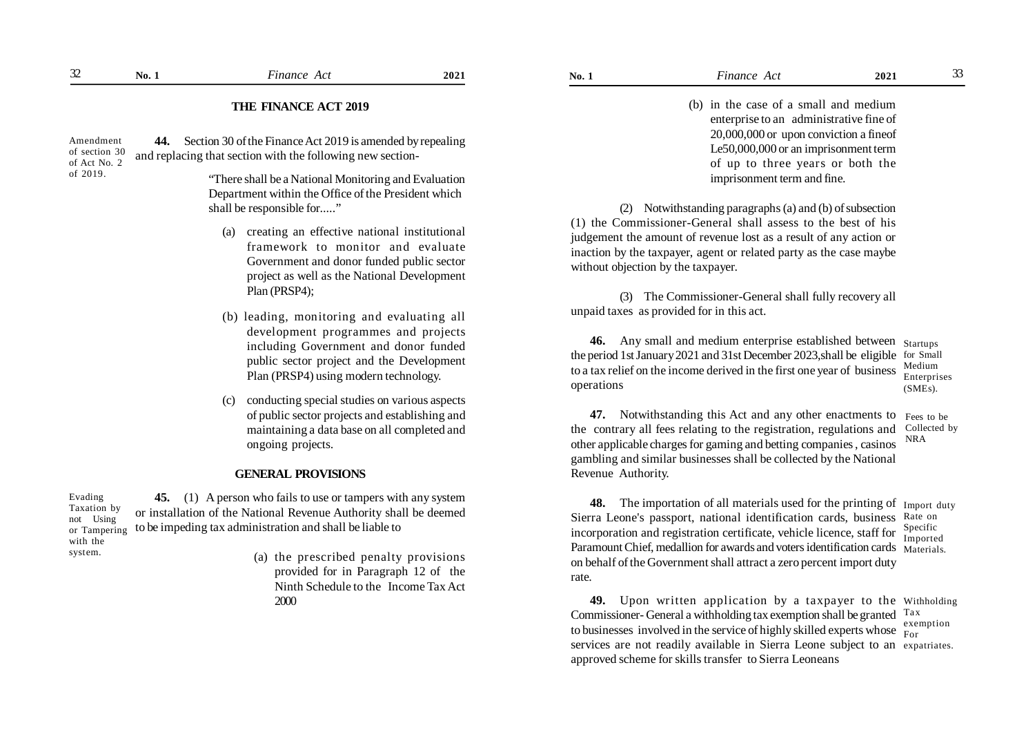(b) in the case of a small and medium enterprise to an administrative fine of 20,000,000 or upon conviction a fineof Le50,000,000 or an imprisonment term of up to three years or both the imprisonment term and fine.

(2) Notwithstanding paragraphs (a) and (b) of subsection (1) the Commissioner-General shall assess to the best of his judgement the amount of revenue lost as a result of any action or inaction by the taxpayer, agent or related party as the case maybe without objection by the taxpayer.

(3) The Commissioner-General shall fully recovery all unpaid taxes as provided for in this act.

**46.** Any small and medium enterprise established between Startups the period 1st January 2021 and 31st December 2023,shall be eligible for Small to a tax relief on the income derived in the first one year of business operations Medium

Enterprises (SMEs).

47. Notwithstanding this Act and any other enactments to Fees to be the contrary all fees relating to the registration, regulations and other applicable charges for gaming and betting companies , casinos gambling and similar businesses shall be collected by the National Revenue Authority. Collected by NRA

**48.** The importation of all materials used for the printing of Import duty Sierra Leone's passport, national identification cards, business Rate on incorporation and registration certificate, vehicle licence, staff for Specific Paramount Chief, medallion for awards and voters identification cards Materials. on behalf of the Government shall attract a zero percent import duty rate. Imported

**49.** Upon written application by a taxpayer to the Withholding Commissioner- General a withholding tax exemption shall be granted Tax to businesses involved in the service of highly skilled experts whose  $\frac{c}{\text{For}}$ services are not readily available in Sierra Leone subject to an expatriates.approved scheme for skills transfer to Sierra Leoneans exemption

**THE FINANCE ACT 2019**

**44.** Section 30 of the Finance Act 2019 is amended by repealing and replacing that section with the following new section- "There shall be a National Monitoring and Evaluation Amendment of section 30 of Act No. 2 of 2019.

Department within the Office of the President which shall be responsible for....."

- (a) creating an effective national institutional framework to monitor and evaluate Government and donor funded public sector project as well as the National Development Plan (PRSP4);
- (b) leading, monitoring and evaluating all development programmes and projects including Government and donor funded public sector project and the Development Plan (PRSP4) using modern technology.
- (c) conducting special studies on various aspects of public sector projects and establishing and maintaining a data base on all completed and ongoing projects.

#### **GENERAL PROVISIONS**

**45.** (1) A person who fails to use or tampers with any system or installation of the National Revenue Authority shall be deemed to be impeding tax administration and shall be liable to Evading Taxation by not Using or Tampering with the system.

 (a) the prescribed penalty provisions provided for in Paragraph 12 of the Ninth Schedule to the Income Tax Act 2000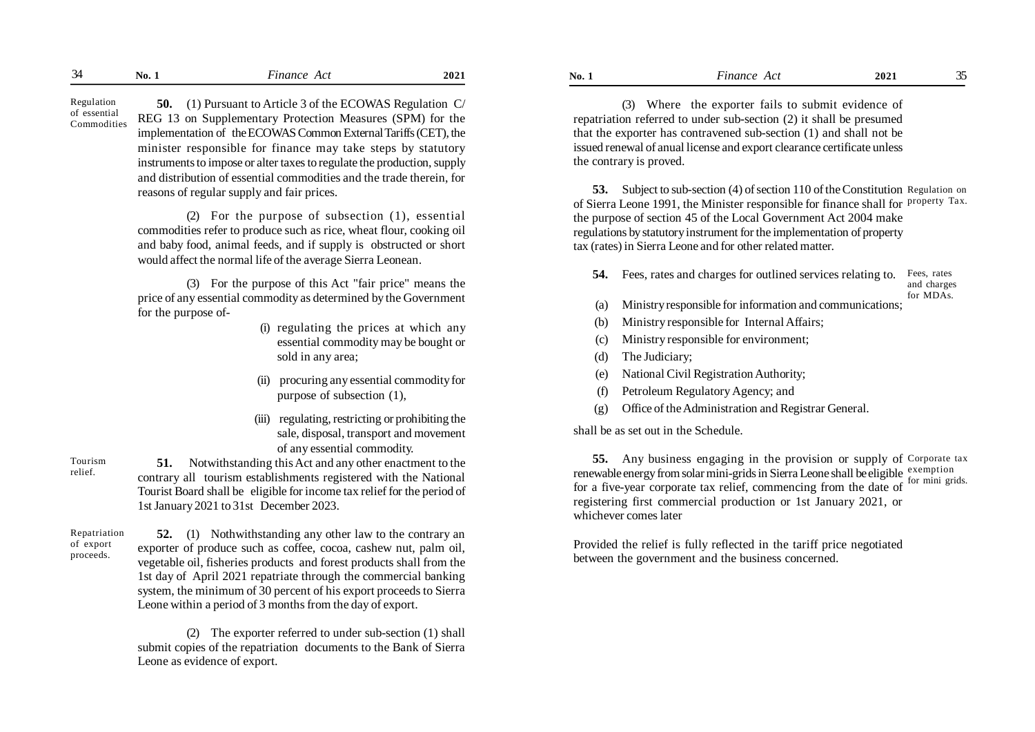| $\sim$<br>2021<br>$\sim$ $\sim$ $\sim$<br>inance<br>Act<br>inance<br>N <sub>0</sub> .<br>Act<br>NO.<br>$\overline{\phantom{a}}$ | 202 |
|---------------------------------------------------------------------------------------------------------------------------------|-----|
|---------------------------------------------------------------------------------------------------------------------------------|-----|

Regulation of essential Commodities

**50.** (1) Pursuant to Article 3 of the ECOWAS Regulation C/ REG 13 on Supplementary Protection Measures (SPM) for the implementation of the ECOWAS Common External Tariffs (CET), the minister responsible for finance may take steps by statutory instruments to impose or alter taxes to regulate the production, supply and distribution of essential commodities and the trade therein, for reasons of regular supply and fair prices.

(2) For the purpose of subsection (1), essential commodities refer to produce such as rice, wheat flour, cooking oil and baby food, animal feeds, and if supply is obstructed or short would affect the normal life of the average Sierra Leonean.

(3) For the purpose of this Act "fair price" means the price of any essential commodity as determined by the Government for the purpose of-

- (i) regulating the prices at which any essential commodity may be bought or sold in any area;
- (ii) procuring any essential commodity for purpose of subsection (1),
- (iii) regulating, restricting or prohibiting the sale, disposal, transport and movement of any essential commodity.

Tourism relief.

**51.** Notwithstanding this Act and any other enactment to the contrary all tourism establishments registered with the National Tourist Board shall be eligible for income tax relief for the period of 1st January 2021 to 31st December 2023.

Repatriation of export proceeds.

**52.** (1) Nothwithstanding any other law to the contrary an exporter of produce such as coffee, cocoa, cashew nut, palm oil, vegetable oil, fisheries products and forest products shall from the 1st day of April 2021 repatriate through the commercial banking system, the minimum of 30 percent of his export proceeds to Sierra Leone within a period of 3 months from the day of export.

(2) The exporter referred to under sub-section (1) shall submit copies of the repatriation documents to the Bank of Sierra Leone as evidence of export.

35

(3) Where the exporter fails to submit evidence of repatriation referred to under sub-section (2) it shall be presumed that the exporter has contravened sub-section (1) and shall not be issued renewal of anual license and export clearance certificate unless the contrary is proved.

**53.** Subject to sub-section (4) of section 110 of the Constitution Regulation on of Sierra Leone 1991, the Minister responsible for finance shall for property Tax. the purpose of section 45 of the Local Government Act 2004 make regulations by statutory instrument for the implementation of property tax (rates) in Sierra Leone and for other related matter.

- **54.** Fees, rates and charges for outlined services relating to. Fees, rates and charges for MDAs.
- (a) Ministry responsible for information and communications;
- (b) Ministry responsible for Internal Affairs;
- (c) Ministry responsible for environment;
- (d) The Judiciary;
- (e) National Civil Registration Authority;
- (f) Petroleum Regulatory Agency; and
- (g) Office of the Administration and Registrar General.

shall be as set out in the Schedule.

**55.** Any business engaging in the provision or supply of Corporate tax renewable energy from solar mini-grids in Sierra Leone shall be eligible  $\frac{\text{exemp}^{\text{tr}}}{\text{exemp}^{\text{tr}}}$ for a five-year corporate tax relief, commencing from the date of <sup>for mini grids.</sup> registering first commercial production or 1st January 2021, or whichever comes later

Provided the relief is fully reflected in the tariff price negotiated between the government and the business concerned.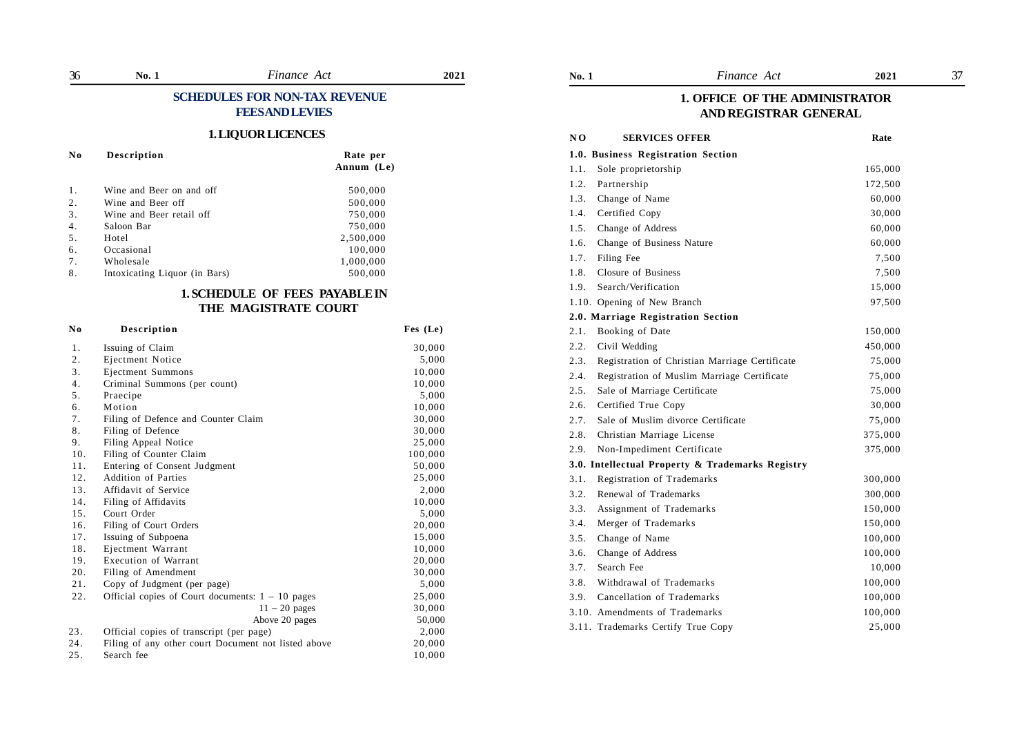# **1. LIQUOR LICENCES**

|    |                               | Annum (Le) |
|----|-------------------------------|------------|
|    |                               |            |
| 1. | Wine and Beer on and off      | 500,000    |
| 2. | Wine and Beer off             | 500,000    |
| 3. | Wine and Beer retail off      | 750,000    |
| 4. | Saloon Bar                    | 750,000    |
| 5. | Hotel                         | 2,500,000  |
| 6. | Occasional                    | 100,000    |
| 7. | Wholesale                     | 1,000,000  |
| 8. | Intoxicating Liquor (in Bars) | 500,000    |

**No Description Rate per**

# **1. SCHEDULE OF FEES PAYABLE IN THE MAGISTRATE COURT**

| No             | Description                                         | Fes (Le) |
|----------------|-----------------------------------------------------|----------|
| 1.             | Issuing of Claim                                    | 30,000   |
| 2.             | Ejectment Notice                                    | 5,000    |
| 3 <sub>1</sub> | Ejectment Summons                                   | 10,000   |
| 4.             | Criminal Summons (per count)                        | 10,000   |
| 5.             | Praecipe                                            | 5,000    |
| 6.             | Motion                                              | 10,000   |
| 7.             | Filing of Defence and Counter Claim                 | 30,000   |
| 8.             | Filing of Defence                                   | 30,000   |
| 9.             | Filing Appeal Notice                                | 25,000   |
| 10.            | Filing of Counter Claim                             | 100,000  |
| 11.            | Entering of Consent Judgment                        | 50,000   |
| 12.            | <b>Addition of Parties</b>                          | 25,000   |
| 13.            | Affidavit of Service                                | 2,000    |
| 14.            | Filing of Affidavits                                | 10,000   |
| 15.            | Court Order                                         | 5,000    |
| 16.            | Filing of Court Orders                              | 20,000   |
| 17.            | Issuing of Subpoena                                 | 15,000   |
| 18.            | Ejectment Warrant                                   | 10,000   |
| 19.            | <b>Execution of Warrant</b>                         | 20,000   |
| 20.            | Filing of Amendment                                 | 30,000   |
| 21.            | Copy of Judgment (per page)                         | 5,000    |
| 22.            | Official copies of Court documents: $1 - 10$ pages  | 25,000   |
|                | $11 - 20$ pages                                     | 30,000   |
|                | Above 20 pages                                      | 50,000   |
| 23.            | Official copies of transcript (per page)            | 2,000    |
| 24.            | Filing of any other court Document not listed above | 20,000   |
| 25.            | Search fee                                          | 10,000   |
|                |                                                     |          |

# **1. OFFICE OF THE ADMINISTRATOR AND REGISTRAR GENERAL**

| NQ   | <b>SERVICES OFFER</b>                            | Rate    |
|------|--------------------------------------------------|---------|
|      | 1.0. Business Registration Section               |         |
| 1.1. | Sole proprietorship                              | 165,000 |
| 1.2. | Partnership                                      | 172,500 |
| 1.3. | Change of Name                                   | 60,000  |
| 1.4. | Certified Copy                                   | 30,000  |
| 1.5. | Change of Address                                | 60,000  |
| 1.6. | Change of Business Nature                        | 60,000  |
| 1.7. | Filing Fee                                       | 7,500   |
| 1.8. | Closure of Business                              | 7,500   |
| 1.9. | Search/Verification                              | 15,000  |
|      | 1.10. Opening of New Branch                      | 97,500  |
|      | 2.0. Marriage Registration Section               |         |
| 2.1. | Booking of Date                                  | 150,000 |
| 2.2. | Civil Wedding                                    | 450,000 |
| 2.3. | Registration of Christian Marriage Certificate   | 75,000  |
| 2.4. | Registration of Muslim Marriage Certificate      | 75,000  |
| 2.5. | Sale of Marriage Certificate                     | 75,000  |
| 2.6. | Certified True Copy                              | 30,000  |
| 2.7. | Sale of Muslim divorce Certificate               | 75,000  |
| 2.8. | Christian Marriage License                       | 375,000 |
| 2.9. | Non-Impediment Certificate                       | 375,000 |
|      | 3.0. Intellectual Property & Trademarks Registry |         |
| 3.1. | Registration of Trademarks                       | 300,000 |
| 3.2. | Renewal of Trademarks                            | 300,000 |
| 3.3. | Assignment of Trademarks                         | 150,000 |
| 3.4. | Merger of Trademarks                             | 150,000 |
| 3.5. | Change of Name                                   | 100,000 |
| 3.6. | Change of Address                                | 100,000 |
| 3.7. | Search Fee                                       | 10,000  |
| 3.8. | Withdrawal of Trademarks                         | 100,000 |
|      | 3.9. Cancellation of Trademarks                  | 100,000 |
|      | 3.10. Amendments of Trademarks                   | 100,000 |
|      | 3.11. Trademarks Certify True Copy               | 25,000  |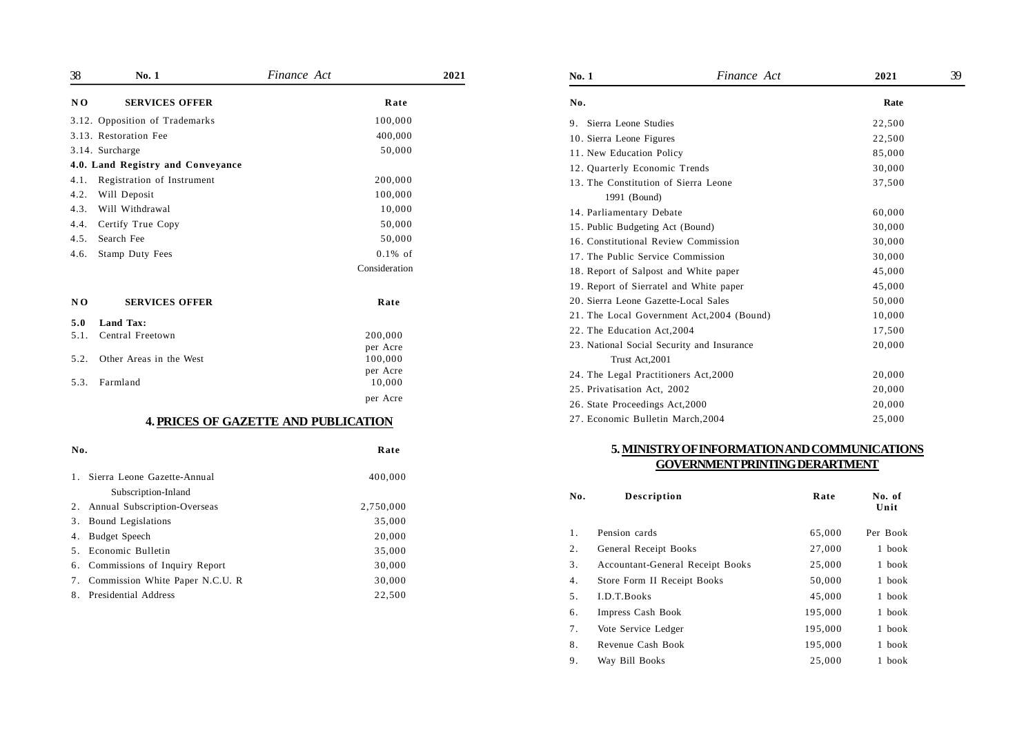| 38             | No. 1                             | Finance Act |                     | 20 |
|----------------|-----------------------------------|-------------|---------------------|----|
| N <sub>0</sub> | <b>SERVICES OFFER</b>             |             | Rate                |    |
|                | 3.12. Opposition of Trademarks    |             | 100,000             |    |
|                | 3.13. Restoration Fee             |             | 400,000             |    |
|                | 3.14. Surcharge                   |             | 50,000              |    |
|                | 4.0. Land Registry and Conveyance |             |                     |    |
| 4.1.           | Registration of Instrument        |             | 200,000             |    |
| 4.2.           | Will Deposit                      |             | 100,000             |    |
| 4.3.           | Will Withdrawal                   |             | 10,000              |    |
| 4.4.           | Certify True Copy                 |             | 50,000              |    |
| 4.5.           | Search Fee                        |             | 50,000              |    |
| 4.6.           | Stamp Duty Fees                   |             | $0.1\%$ of          |    |
|                |                                   |             | Consideration       |    |
| N <sub>0</sub> | <b>SERVICES OFFER</b>             |             | Rate                |    |
| 5.0            | Land Tax:                         |             |                     |    |
| 5.1.           | Central Freetown                  |             | 200,000             |    |
| 5.2.           | Other Areas in the West           |             | per Acre<br>100,000 |    |
|                |                                   |             | per Acre            |    |
| 5.3.           | Farmland                          |             | 10,000              |    |
|                |                                   |             | per Acre            |    |

# **4. PRICES OF GAZETTE AND PUBLICATION**

| No.          |                                  | Rate      |
|--------------|----------------------------------|-----------|
| $\mathbf{1}$ | Sierra Leone Gazette-Annual      | 400,000   |
|              | Subscription-Inland              |           |
|              | 2. Annual Subscription-Overseas  | 2,750,000 |
| 3.           | Bound Legislations               | 35,000    |
| 4.           | Budget Speech                    | 20,000    |
| 5.           | Economic Bulletin                | 35,000    |
|              | 6. Commissions of Inquiry Report | 30,000    |
| 7.           | Commission White Paper N.C.U. R  | 30,000    |
| 8.           | Presidential Address             | 22.500    |
|              |                                  |           |

| No. 1                 | Finance Act                                 | 2021 | No. 1                                   | Finance Act                                | 2021   | 39 |
|-----------------------|---------------------------------------------|------|-----------------------------------------|--------------------------------------------|--------|----|
| <b>ERVICES OFFER</b>  | Rate                                        |      | No.                                     |                                            | Rate   |    |
| on of Trademarks      | 100,000                                     |      | 9. Sierra Leone Studies                 |                                            | 22,500 |    |
| ion Fee               | 400,000                                     |      | 10. Sierra Leone Figures                |                                            | 22,500 |    |
| è                     | 50,000                                      |      | 11. New Education Policy                |                                            | 85,000 |    |
| sistry and Conveyance |                                             |      | 12. Quarterly Economic Trends           |                                            | 30,000 |    |
| tion of Instrument    | 200,000                                     |      | 13. The Constitution of Sierra Leone    |                                            | 37,500 |    |
| osit                  | 100,000                                     |      | 1991 (Bound)                            |                                            |        |    |
| hdrawal               | 10,000                                      |      | 14. Parliamentary Debate                |                                            | 60,000 |    |
| True Copy             | 50,000                                      |      | 15. Public Budgeting Act (Bound)        |                                            | 30,000 |    |
| ee                    | 50,000                                      |      | 16. Constitutional Review Commission    |                                            | 30,000 |    |
| uty Fees              | $0.1\%$ of                                  |      | 17. The Public Service Commission       |                                            | 30,000 |    |
|                       | Consideration                               |      | 18. Report of Salpost and White paper   |                                            | 45,000 |    |
|                       |                                             |      | 19. Report of Sierratel and White paper |                                            | 45,000 |    |
| <b>ERVICES OFFER</b>  | Rate                                        |      | 20. Sierra Leone Gazette-Local Sales    |                                            | 50,000 |    |
|                       |                                             |      |                                         | 21. The Local Government Act, 2004 (Bound) | 10,000 |    |
| ux:                   | 200,000                                     |      | 22. The Education Act, 2004             |                                            | 17,500 |    |
| Freetown              | per Acre                                    |      |                                         | 23. National Social Security and Insurance | 20,000 |    |
| eas in the West       | 100,000                                     |      | Trust Act, 2001                         |                                            |        |    |
|                       | per Acre                                    |      | 24. The Legal Practitioners Act, 2000   |                                            | 20,000 |    |
|                       | 10,000                                      |      | 25. Privatisation Act, 2002             |                                            | 20,000 |    |
|                       | per Acre                                    |      | 26. State Proceedings Act, 2000         |                                            | 20,000 |    |
|                       | <b>4. PRICES OF GAZETTE AND PUBLICATION</b> |      | 27. Economic Bulletin March, 2004       |                                            | 25,000 |    |
|                       |                                             |      |                                         |                                            |        |    |

## **5. MINISTRY OF INFORMATION AND COMMUNICATIONS GOVERNMENT PRINTING DERARTMENT**

| No. | Description                      | Rate    | No. of<br>Unit |
|-----|----------------------------------|---------|----------------|
| 1.  | Pension cards                    | 65,000  | Per Book       |
| 2.  | General Receipt Books            | 27,000  | 1 book         |
| 3.  | Accountant-General Receipt Books | 25,000  | 1 book         |
| 4.  | Store Form II Receipt Books      | 50,000  | 1 book         |
| 5.  | I.D.T.Books                      | 45,000  | 1 book         |
| 6.  | Impress Cash Book                | 195,000 | 1 book         |
| 7.  | Vote Service Ledger              | 195,000 | 1 book         |
| 8.  | Revenue Cash Book                | 195,000 | 1 book         |
| 9.  | Way Bill Books                   | 25,000  | 1 book         |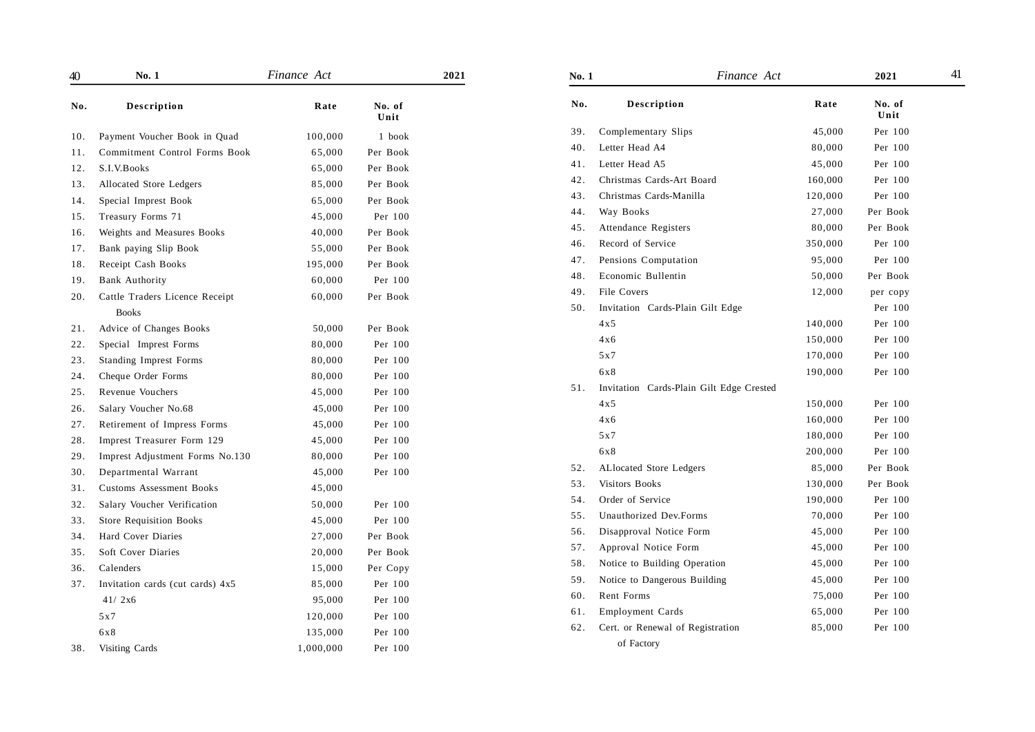| Rate<br>No.<br>Description<br>No.<br>No. of<br>No.<br>Description<br>Rate<br>Uni<br>Unit<br>45,000<br>Per 1<br>39.<br>Complementary Slips<br>Payment Voucher Book in Quad<br>100,000<br>1 book<br>10.<br>Letter Head A4<br>80,000<br>Per 1<br>40.<br>Commitment Control Forms Book<br>Per Book<br>65,000<br>11.<br>45,000<br>Letter Head A5<br>Per 1<br>41.<br>S.I.V.Books<br>65,000<br>Per Book<br>12.<br>Christmas Cards-Art Board<br>160,000<br>42.<br>Per 1<br>Allocated Store Ledgers<br>85,000<br>Per Book<br>13.<br>43.<br>Christmas Cards-Manilla<br>120,000<br>Per 1<br>Special Imprest Book<br>65,000<br>Per Book<br>14.<br>27,000<br>44.<br>Way Books<br>Per Bo<br>Treasury Forms 71<br>Per 100<br>15.<br>45,000<br>80,000<br>45.<br><b>Attendance Registers</b><br>Per Bo<br>Weights and Measures Books<br>Per Book<br>16.<br>40,000<br>Record of Service<br>350,000<br>46.<br>Per 1<br>Bank paying Slip Book<br>55,000<br>Per Book<br>17.<br>47.<br>Pensions Computation<br>95,000<br>Per 1<br>Receipt Cash Books<br>195,000<br>Per Book<br>18.<br>Economic Bullentin<br>50,000<br>Per Bo<br>48.<br>60,000<br>Per 100<br>19.<br><b>Bank Authority</b><br>File Covers<br>49.<br>12,000<br>per co<br>Cattle Traders Licence Receipt<br>60,000<br>Per Book<br>20.<br>Invitation Cards-Plain Gilt Edge<br>Per 1<br>50.<br><b>Books</b><br>4x5<br>140,000<br>Per 1<br>Advice of Changes Books<br>50,000<br>Per Book<br>21.<br>150,000<br>4x6<br>Per 1<br>Special Imprest Forms<br>80,000<br>Per 100<br>22.<br>5x7<br>170,000<br>Per 1<br>Per 100<br>23.<br><b>Standing Imprest Forms</b><br>80,000<br>6x8<br>190,000<br>Per 1<br>Per 100<br>24.<br>Cheque Order Forms<br>80,000<br>Invitation Cards-Plain Gilt Edge Crested<br>51.<br>45,000<br>Per 100<br>Revenue Vouchers<br>25.<br>150,000<br>4x5<br>Per 1<br>45,000<br>Per 100<br>26.<br>Salary Voucher No.68<br>160,000<br>4x6<br>Per 1<br>Retirement of Impress Forms<br>45,000<br>Per 100<br>27.<br>5x7<br>180,000<br>Per 1<br>Imprest Treasurer Form 129<br>45,000<br>Per 100<br>28.<br>6x8<br>200,000<br>Per 1<br>Imprest Adjustment Forms No.130<br>80,000<br>Per 100<br>29.<br>ALlocated Store Ledgers<br>85,000<br>Per Bo<br>52.<br>Departmental Warrant<br>45,000<br>Per 100<br>30.<br>Visitors Books<br>130,000<br>Per Bo<br>53.<br>45,000<br><b>Customs Assessment Books</b><br>31.<br>54.<br>Order of Service<br>190,000<br>Per 1<br>50,000<br>Per 100<br>32.<br>Salary Voucher Verification<br>55.<br>Unauthorized Dev.Forms<br>70,000<br>Per 1<br>45,000<br>Per 100<br>33.<br><b>Store Requisition Books</b><br>45,000<br>56.<br>Disapproval Notice Form<br>Per 1<br>Hard Cover Diaries<br>27,000<br>Per Book<br>34.<br>57.<br>Approval Notice Form<br>45,000<br>Per 1<br>Soft Cover Diaries<br>20,000<br>Per Book<br>35.<br>58.<br>Notice to Building Operation<br>45,000<br>Per 1<br>Calenders<br>15,000<br>Per Copy<br>36.<br>59.<br>Notice to Dangerous Building<br>45,000<br>Per 1<br>85,000<br>Per 100<br>37.<br>Invitation cards (cut cards) 4x5<br>60.<br>75,000<br>Per 1 | 40 | No. 1  | Finance Act |         | 2021 | No. 1 | Finance Act | 2021 |
|-------------------------------------------------------------------------------------------------------------------------------------------------------------------------------------------------------------------------------------------------------------------------------------------------------------------------------------------------------------------------------------------------------------------------------------------------------------------------------------------------------------------------------------------------------------------------------------------------------------------------------------------------------------------------------------------------------------------------------------------------------------------------------------------------------------------------------------------------------------------------------------------------------------------------------------------------------------------------------------------------------------------------------------------------------------------------------------------------------------------------------------------------------------------------------------------------------------------------------------------------------------------------------------------------------------------------------------------------------------------------------------------------------------------------------------------------------------------------------------------------------------------------------------------------------------------------------------------------------------------------------------------------------------------------------------------------------------------------------------------------------------------------------------------------------------------------------------------------------------------------------------------------------------------------------------------------------------------------------------------------------------------------------------------------------------------------------------------------------------------------------------------------------------------------------------------------------------------------------------------------------------------------------------------------------------------------------------------------------------------------------------------------------------------------------------------------------------------------------------------------------------------------------------------------------------------------------------------------------------------------------------------------------------------------------------------------------------------------------------------------------------------------------------------------------------------------------------------------------------------------------------------------------------------------------------------------------------------------------------------------------------------------------------------------------------|----|--------|-------------|---------|------|-------|-------------|------|
|                                                                                                                                                                                                                                                                                                                                                                                                                                                                                                                                                                                                                                                                                                                                                                                                                                                                                                                                                                                                                                                                                                                                                                                                                                                                                                                                                                                                                                                                                                                                                                                                                                                                                                                                                                                                                                                                                                                                                                                                                                                                                                                                                                                                                                                                                                                                                                                                                                                                                                                                                                                                                                                                                                                                                                                                                                                                                                                                                                                                                                                             |    |        |             |         |      |       |             |      |
|                                                                                                                                                                                                                                                                                                                                                                                                                                                                                                                                                                                                                                                                                                                                                                                                                                                                                                                                                                                                                                                                                                                                                                                                                                                                                                                                                                                                                                                                                                                                                                                                                                                                                                                                                                                                                                                                                                                                                                                                                                                                                                                                                                                                                                                                                                                                                                                                                                                                                                                                                                                                                                                                                                                                                                                                                                                                                                                                                                                                                                                             |    |        |             |         |      |       |             |      |
|                                                                                                                                                                                                                                                                                                                                                                                                                                                                                                                                                                                                                                                                                                                                                                                                                                                                                                                                                                                                                                                                                                                                                                                                                                                                                                                                                                                                                                                                                                                                                                                                                                                                                                                                                                                                                                                                                                                                                                                                                                                                                                                                                                                                                                                                                                                                                                                                                                                                                                                                                                                                                                                                                                                                                                                                                                                                                                                                                                                                                                                             |    |        |             |         |      |       |             |      |
|                                                                                                                                                                                                                                                                                                                                                                                                                                                                                                                                                                                                                                                                                                                                                                                                                                                                                                                                                                                                                                                                                                                                                                                                                                                                                                                                                                                                                                                                                                                                                                                                                                                                                                                                                                                                                                                                                                                                                                                                                                                                                                                                                                                                                                                                                                                                                                                                                                                                                                                                                                                                                                                                                                                                                                                                                                                                                                                                                                                                                                                             |    |        |             |         |      |       |             |      |
|                                                                                                                                                                                                                                                                                                                                                                                                                                                                                                                                                                                                                                                                                                                                                                                                                                                                                                                                                                                                                                                                                                                                                                                                                                                                                                                                                                                                                                                                                                                                                                                                                                                                                                                                                                                                                                                                                                                                                                                                                                                                                                                                                                                                                                                                                                                                                                                                                                                                                                                                                                                                                                                                                                                                                                                                                                                                                                                                                                                                                                                             |    |        |             |         |      |       |             |      |
|                                                                                                                                                                                                                                                                                                                                                                                                                                                                                                                                                                                                                                                                                                                                                                                                                                                                                                                                                                                                                                                                                                                                                                                                                                                                                                                                                                                                                                                                                                                                                                                                                                                                                                                                                                                                                                                                                                                                                                                                                                                                                                                                                                                                                                                                                                                                                                                                                                                                                                                                                                                                                                                                                                                                                                                                                                                                                                                                                                                                                                                             |    |        |             |         |      |       |             |      |
|                                                                                                                                                                                                                                                                                                                                                                                                                                                                                                                                                                                                                                                                                                                                                                                                                                                                                                                                                                                                                                                                                                                                                                                                                                                                                                                                                                                                                                                                                                                                                                                                                                                                                                                                                                                                                                                                                                                                                                                                                                                                                                                                                                                                                                                                                                                                                                                                                                                                                                                                                                                                                                                                                                                                                                                                                                                                                                                                                                                                                                                             |    |        |             |         |      |       |             |      |
|                                                                                                                                                                                                                                                                                                                                                                                                                                                                                                                                                                                                                                                                                                                                                                                                                                                                                                                                                                                                                                                                                                                                                                                                                                                                                                                                                                                                                                                                                                                                                                                                                                                                                                                                                                                                                                                                                                                                                                                                                                                                                                                                                                                                                                                                                                                                                                                                                                                                                                                                                                                                                                                                                                                                                                                                                                                                                                                                                                                                                                                             |    |        |             |         |      |       |             |      |
|                                                                                                                                                                                                                                                                                                                                                                                                                                                                                                                                                                                                                                                                                                                                                                                                                                                                                                                                                                                                                                                                                                                                                                                                                                                                                                                                                                                                                                                                                                                                                                                                                                                                                                                                                                                                                                                                                                                                                                                                                                                                                                                                                                                                                                                                                                                                                                                                                                                                                                                                                                                                                                                                                                                                                                                                                                                                                                                                                                                                                                                             |    |        |             |         |      |       |             |      |
|                                                                                                                                                                                                                                                                                                                                                                                                                                                                                                                                                                                                                                                                                                                                                                                                                                                                                                                                                                                                                                                                                                                                                                                                                                                                                                                                                                                                                                                                                                                                                                                                                                                                                                                                                                                                                                                                                                                                                                                                                                                                                                                                                                                                                                                                                                                                                                                                                                                                                                                                                                                                                                                                                                                                                                                                                                                                                                                                                                                                                                                             |    |        |             |         |      |       |             |      |
|                                                                                                                                                                                                                                                                                                                                                                                                                                                                                                                                                                                                                                                                                                                                                                                                                                                                                                                                                                                                                                                                                                                                                                                                                                                                                                                                                                                                                                                                                                                                                                                                                                                                                                                                                                                                                                                                                                                                                                                                                                                                                                                                                                                                                                                                                                                                                                                                                                                                                                                                                                                                                                                                                                                                                                                                                                                                                                                                                                                                                                                             |    |        |             |         |      |       |             |      |
|                                                                                                                                                                                                                                                                                                                                                                                                                                                                                                                                                                                                                                                                                                                                                                                                                                                                                                                                                                                                                                                                                                                                                                                                                                                                                                                                                                                                                                                                                                                                                                                                                                                                                                                                                                                                                                                                                                                                                                                                                                                                                                                                                                                                                                                                                                                                                                                                                                                                                                                                                                                                                                                                                                                                                                                                                                                                                                                                                                                                                                                             |    |        |             |         |      |       |             |      |
|                                                                                                                                                                                                                                                                                                                                                                                                                                                                                                                                                                                                                                                                                                                                                                                                                                                                                                                                                                                                                                                                                                                                                                                                                                                                                                                                                                                                                                                                                                                                                                                                                                                                                                                                                                                                                                                                                                                                                                                                                                                                                                                                                                                                                                                                                                                                                                                                                                                                                                                                                                                                                                                                                                                                                                                                                                                                                                                                                                                                                                                             |    |        |             |         |      |       |             |      |
|                                                                                                                                                                                                                                                                                                                                                                                                                                                                                                                                                                                                                                                                                                                                                                                                                                                                                                                                                                                                                                                                                                                                                                                                                                                                                                                                                                                                                                                                                                                                                                                                                                                                                                                                                                                                                                                                                                                                                                                                                                                                                                                                                                                                                                                                                                                                                                                                                                                                                                                                                                                                                                                                                                                                                                                                                                                                                                                                                                                                                                                             |    |        |             |         |      |       |             |      |
|                                                                                                                                                                                                                                                                                                                                                                                                                                                                                                                                                                                                                                                                                                                                                                                                                                                                                                                                                                                                                                                                                                                                                                                                                                                                                                                                                                                                                                                                                                                                                                                                                                                                                                                                                                                                                                                                                                                                                                                                                                                                                                                                                                                                                                                                                                                                                                                                                                                                                                                                                                                                                                                                                                                                                                                                                                                                                                                                                                                                                                                             |    |        |             |         |      |       |             |      |
|                                                                                                                                                                                                                                                                                                                                                                                                                                                                                                                                                                                                                                                                                                                                                                                                                                                                                                                                                                                                                                                                                                                                                                                                                                                                                                                                                                                                                                                                                                                                                                                                                                                                                                                                                                                                                                                                                                                                                                                                                                                                                                                                                                                                                                                                                                                                                                                                                                                                                                                                                                                                                                                                                                                                                                                                                                                                                                                                                                                                                                                             |    |        |             |         |      |       |             |      |
|                                                                                                                                                                                                                                                                                                                                                                                                                                                                                                                                                                                                                                                                                                                                                                                                                                                                                                                                                                                                                                                                                                                                                                                                                                                                                                                                                                                                                                                                                                                                                                                                                                                                                                                                                                                                                                                                                                                                                                                                                                                                                                                                                                                                                                                                                                                                                                                                                                                                                                                                                                                                                                                                                                                                                                                                                                                                                                                                                                                                                                                             |    |        |             |         |      |       |             |      |
|                                                                                                                                                                                                                                                                                                                                                                                                                                                                                                                                                                                                                                                                                                                                                                                                                                                                                                                                                                                                                                                                                                                                                                                                                                                                                                                                                                                                                                                                                                                                                                                                                                                                                                                                                                                                                                                                                                                                                                                                                                                                                                                                                                                                                                                                                                                                                                                                                                                                                                                                                                                                                                                                                                                                                                                                                                                                                                                                                                                                                                                             |    |        |             |         |      |       |             |      |
|                                                                                                                                                                                                                                                                                                                                                                                                                                                                                                                                                                                                                                                                                                                                                                                                                                                                                                                                                                                                                                                                                                                                                                                                                                                                                                                                                                                                                                                                                                                                                                                                                                                                                                                                                                                                                                                                                                                                                                                                                                                                                                                                                                                                                                                                                                                                                                                                                                                                                                                                                                                                                                                                                                                                                                                                                                                                                                                                                                                                                                                             |    |        |             |         |      |       |             |      |
|                                                                                                                                                                                                                                                                                                                                                                                                                                                                                                                                                                                                                                                                                                                                                                                                                                                                                                                                                                                                                                                                                                                                                                                                                                                                                                                                                                                                                                                                                                                                                                                                                                                                                                                                                                                                                                                                                                                                                                                                                                                                                                                                                                                                                                                                                                                                                                                                                                                                                                                                                                                                                                                                                                                                                                                                                                                                                                                                                                                                                                                             |    |        |             |         |      |       |             |      |
|                                                                                                                                                                                                                                                                                                                                                                                                                                                                                                                                                                                                                                                                                                                                                                                                                                                                                                                                                                                                                                                                                                                                                                                                                                                                                                                                                                                                                                                                                                                                                                                                                                                                                                                                                                                                                                                                                                                                                                                                                                                                                                                                                                                                                                                                                                                                                                                                                                                                                                                                                                                                                                                                                                                                                                                                                                                                                                                                                                                                                                                             |    |        |             |         |      |       |             |      |
|                                                                                                                                                                                                                                                                                                                                                                                                                                                                                                                                                                                                                                                                                                                                                                                                                                                                                                                                                                                                                                                                                                                                                                                                                                                                                                                                                                                                                                                                                                                                                                                                                                                                                                                                                                                                                                                                                                                                                                                                                                                                                                                                                                                                                                                                                                                                                                                                                                                                                                                                                                                                                                                                                                                                                                                                                                                                                                                                                                                                                                                             |    |        |             |         |      |       |             |      |
|                                                                                                                                                                                                                                                                                                                                                                                                                                                                                                                                                                                                                                                                                                                                                                                                                                                                                                                                                                                                                                                                                                                                                                                                                                                                                                                                                                                                                                                                                                                                                                                                                                                                                                                                                                                                                                                                                                                                                                                                                                                                                                                                                                                                                                                                                                                                                                                                                                                                                                                                                                                                                                                                                                                                                                                                                                                                                                                                                                                                                                                             |    |        |             |         |      |       |             |      |
|                                                                                                                                                                                                                                                                                                                                                                                                                                                                                                                                                                                                                                                                                                                                                                                                                                                                                                                                                                                                                                                                                                                                                                                                                                                                                                                                                                                                                                                                                                                                                                                                                                                                                                                                                                                                                                                                                                                                                                                                                                                                                                                                                                                                                                                                                                                                                                                                                                                                                                                                                                                                                                                                                                                                                                                                                                                                                                                                                                                                                                                             |    |        |             |         |      |       |             |      |
|                                                                                                                                                                                                                                                                                                                                                                                                                                                                                                                                                                                                                                                                                                                                                                                                                                                                                                                                                                                                                                                                                                                                                                                                                                                                                                                                                                                                                                                                                                                                                                                                                                                                                                                                                                                                                                                                                                                                                                                                                                                                                                                                                                                                                                                                                                                                                                                                                                                                                                                                                                                                                                                                                                                                                                                                                                                                                                                                                                                                                                                             |    |        |             |         |      |       |             |      |
|                                                                                                                                                                                                                                                                                                                                                                                                                                                                                                                                                                                                                                                                                                                                                                                                                                                                                                                                                                                                                                                                                                                                                                                                                                                                                                                                                                                                                                                                                                                                                                                                                                                                                                                                                                                                                                                                                                                                                                                                                                                                                                                                                                                                                                                                                                                                                                                                                                                                                                                                                                                                                                                                                                                                                                                                                                                                                                                                                                                                                                                             |    |        |             |         |      |       |             |      |
|                                                                                                                                                                                                                                                                                                                                                                                                                                                                                                                                                                                                                                                                                                                                                                                                                                                                                                                                                                                                                                                                                                                                                                                                                                                                                                                                                                                                                                                                                                                                                                                                                                                                                                                                                                                                                                                                                                                                                                                                                                                                                                                                                                                                                                                                                                                                                                                                                                                                                                                                                                                                                                                                                                                                                                                                                                                                                                                                                                                                                                                             |    |        |             |         |      |       |             |      |
|                                                                                                                                                                                                                                                                                                                                                                                                                                                                                                                                                                                                                                                                                                                                                                                                                                                                                                                                                                                                                                                                                                                                                                                                                                                                                                                                                                                                                                                                                                                                                                                                                                                                                                                                                                                                                                                                                                                                                                                                                                                                                                                                                                                                                                                                                                                                                                                                                                                                                                                                                                                                                                                                                                                                                                                                                                                                                                                                                                                                                                                             |    |        |             |         |      |       |             |      |
|                                                                                                                                                                                                                                                                                                                                                                                                                                                                                                                                                                                                                                                                                                                                                                                                                                                                                                                                                                                                                                                                                                                                                                                                                                                                                                                                                                                                                                                                                                                                                                                                                                                                                                                                                                                                                                                                                                                                                                                                                                                                                                                                                                                                                                                                                                                                                                                                                                                                                                                                                                                                                                                                                                                                                                                                                                                                                                                                                                                                                                                             |    |        |             |         |      |       |             |      |
|                                                                                                                                                                                                                                                                                                                                                                                                                                                                                                                                                                                                                                                                                                                                                                                                                                                                                                                                                                                                                                                                                                                                                                                                                                                                                                                                                                                                                                                                                                                                                                                                                                                                                                                                                                                                                                                                                                                                                                                                                                                                                                                                                                                                                                                                                                                                                                                                                                                                                                                                                                                                                                                                                                                                                                                                                                                                                                                                                                                                                                                             |    |        |             |         |      |       |             |      |
|                                                                                                                                                                                                                                                                                                                                                                                                                                                                                                                                                                                                                                                                                                                                                                                                                                                                                                                                                                                                                                                                                                                                                                                                                                                                                                                                                                                                                                                                                                                                                                                                                                                                                                                                                                                                                                                                                                                                                                                                                                                                                                                                                                                                                                                                                                                                                                                                                                                                                                                                                                                                                                                                                                                                                                                                                                                                                                                                                                                                                                                             |    | 41/2x6 | 95,000      | Per 100 |      |       | Rent Forms  |      |
| <b>Employment Cards</b><br>65,000<br>Per 1<br>61.<br>Per 100<br>5x7<br>120,000                                                                                                                                                                                                                                                                                                                                                                                                                                                                                                                                                                                                                                                                                                                                                                                                                                                                                                                                                                                                                                                                                                                                                                                                                                                                                                                                                                                                                                                                                                                                                                                                                                                                                                                                                                                                                                                                                                                                                                                                                                                                                                                                                                                                                                                                                                                                                                                                                                                                                                                                                                                                                                                                                                                                                                                                                                                                                                                                                                              |    |        |             |         |      |       |             |      |
| Cert. or Renewal of Registration<br>85,000<br>Per 1<br>62.<br>6x8<br>135,000<br>Per 100                                                                                                                                                                                                                                                                                                                                                                                                                                                                                                                                                                                                                                                                                                                                                                                                                                                                                                                                                                                                                                                                                                                                                                                                                                                                                                                                                                                                                                                                                                                                                                                                                                                                                                                                                                                                                                                                                                                                                                                                                                                                                                                                                                                                                                                                                                                                                                                                                                                                                                                                                                                                                                                                                                                                                                                                                                                                                                                                                                     |    |        |             |         |      |       |             |      |
| of Factory<br>Per 100<br>Visiting Cards<br>1,000,000<br>38.                                                                                                                                                                                                                                                                                                                                                                                                                                                                                                                                                                                                                                                                                                                                                                                                                                                                                                                                                                                                                                                                                                                                                                                                                                                                                                                                                                                                                                                                                                                                                                                                                                                                                                                                                                                                                                                                                                                                                                                                                                                                                                                                                                                                                                                                                                                                                                                                                                                                                                                                                                                                                                                                                                                                                                                                                                                                                                                                                                                                 |    |        |             |         |      |       |             |      |

| No. 1 | Finance Act                              | 2021    | 41             |  |
|-------|------------------------------------------|---------|----------------|--|
| No.   | Description                              | Rate    | No. of<br>Unit |  |
| 39.   | Complementary Slips                      | 45,000  | Per 100        |  |
| 40.   | Letter Head A4                           | 80,000  | Per 100        |  |
| 41.   | Letter Head A5                           | 45,000  | Per 100        |  |
| 42.   | Christmas Cards-Art Board                | 160,000 | Per 100        |  |
| 43.   | Christmas Cards-Manilla                  | 120,000 | Per 100        |  |
| 44.   | Way Books                                | 27,000  | Per Book       |  |
| 45.   | Attendance Registers                     | 80,000  | Per Book       |  |
| 46.   | Record of Service                        | 350,000 | Per 100        |  |
| 47.   | Pensions Computation                     | 95,000  | Per 100        |  |
| 48.   | Economic Bullentin                       | 50,000  | Per Book       |  |
| 49.   | File Covers                              | 12,000  | per copy       |  |
| 50.   | Invitation Cards-Plain Gilt Edge         |         | Per 100        |  |
|       | 4x5                                      | 140,000 | Per 100        |  |
|       | 4x6                                      | 150,000 | Per 100        |  |
|       | 5x7                                      | 170,000 | Per 100        |  |
|       | 6x8                                      | 190,000 | Per 100        |  |
| 51.   | Invitation Cards-Plain Gilt Edge Crested |         |                |  |
|       | 4x5                                      | 150,000 | Per 100        |  |
|       | 4x6                                      | 160,000 | Per 100        |  |
|       | 5x7                                      | 180,000 | Per 100        |  |
|       | 6x8                                      | 200,000 | Per 100        |  |
| 52.   | ALlocated Store Ledgers                  | 85,000  | Per Book       |  |
| 53.   | Visitors Books                           | 130,000 | Per Book       |  |
| 54.   | Order of Service                         | 190,000 | Per $100$      |  |
| 55.   | Unauthorized Dev.Forms                   | 70,000  | Per $100$      |  |
| 56.   | Disapproval Notice Form                  | 45,000  | Per 100        |  |
| 57.   | Approval Notice Form                     | 45,000  | Per 100        |  |
| 58.   | Notice to Building Operation             | 45,000  | Per 100        |  |
| 59.   | Notice to Dangerous Building             | 45,000  | Per 100        |  |
| 60.   | Rent Forms                               | 75,000  | Per 100        |  |
| 61.   | Employment Cards                         | 65,000  | Per 100        |  |
| 62.   | Cert. or Renewal of Registration         | 85,000  | Per 100        |  |
|       | of Factory                               |         |                |  |
|       |                                          |         |                |  |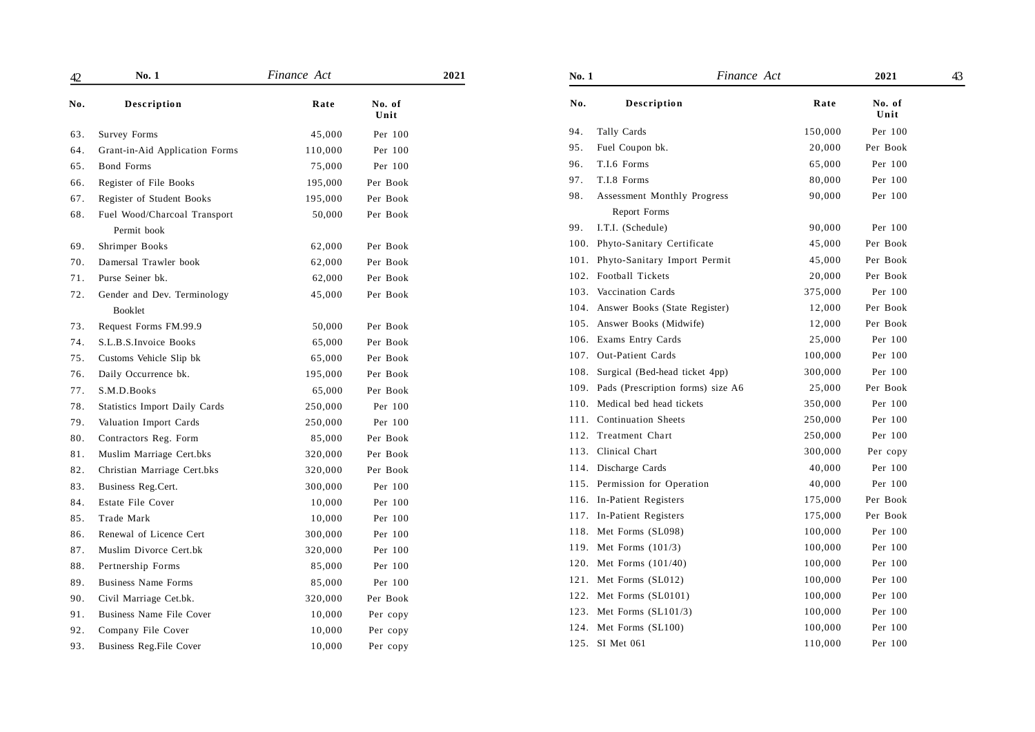| 42  | No. 1                          | Finance Act | 2021           | No. 1 |                                        | Finance Act | 2021            |
|-----|--------------------------------|-------------|----------------|-------|----------------------------------------|-------------|-----------------|
| No. | Description                    | Rate        | No. of<br>Unit | No.   | Description                            | Rate        | No. $0$<br>Unit |
| 63. | Survey Forms                   | 45,000      | Per 100        | 94.   | Tally Cards                            | 150,000     | Per 1           |
| 64. | Grant-in-Aid Application Forms | 110,000     | Per 100        | 95.   | Fuel Coupon bk.                        | 20,000      | Per Bo          |
| 65. | <b>Bond Forms</b>              | 75,000      | Per 100        | 96.   | T.I.6 Forms                            | 65,000      | Per 1           |
| 66. | Register of File Books         | 195,000     | Per Book       | 97.   | T.I.8 Forms                            | 80,000      | Per 1           |
| 67. | Register of Student Books      | 195,000     | Per Book       | 98.   | Assessment Monthly Progress            | 90,000      | Per 1           |
| 68. | Fuel Wood/Charcoal Transport   | 50,000      | Per Book       |       | Report Forms                           |             |                 |
|     | Permit book                    |             |                | 99.   | I.T.I. (Schedule)                      | 90,000      | Per 1           |
| 69. | Shrimper Books                 | 62,000      | Per Book       | 100.  | Phyto-Sanitary Certificate             | 45,000      | Per Bo          |
| 70. | Damersal Trawler book          | 62,000      | Per Book       | 101.  | Phyto-Sanitary Import Permit           | 45,000      | Per Bo          |
| 71. | Purse Seiner bk.               | 62,000      | Per Book       |       | 102. Football Tickets                  | 20,000      | Per Bo          |
| 72. | Gender and Dev. Terminology    | 45,000      | Per Book       |       | 103. Vaccination Cards                 | 375,000     | Per 1           |
|     | Booklet                        |             |                |       | 104. Answer Books (State Register)     | 12,000      | Per Bo          |
| 73. | Request Forms FM.99.9          | 50,000      | Per Book       |       | 105. Answer Books (Midwife)            | 12,000      | Per Bo          |
| 74. | S.L.B.S.Invoice Books          | 65,000      | Per Book       |       | 106. Exams Entry Cards                 | 25,000      | Per 1           |
| 75. | Customs Vehicle Slip bk        | 65,000      | Per Book       |       | 107. Out-Patient Cards                 | 100,000     | Per 1           |
| 76. | Daily Occurrence bk.           | 195,000     | Per Book       | 108.  | Surgical (Bed-head ticket 4pp)         | 300,000     | Per 1           |
| 77. | S.M.D.Books                    | 65,000      | Per Book       |       | 109. Pads (Prescription forms) size A6 | 25,000      | Per Bo          |
| 78. | Statistics Import Daily Cards  | 250,000     | Per 100        |       | 110. Medical bed head tickets          | 350,000     | Per 1           |
| 79. | Valuation Import Cards         | 250,000     | Per 100        |       | 111. Continuation Sheets               | 250,000     | Per 1           |
| 80. | Contractors Reg. Form          | 85,000      | Per Book       |       | 112. Treatment Chart                   | 250,000     | Per 1           |
| 81. | Muslim Marriage Cert.bks       | 320,000     | Per Book       |       | 113. Clinical Chart                    | 300,000     | Per co          |
| 82. | Christian Marriage Cert.bks    | 320,000     | Per Book       |       | 114. Discharge Cards                   | 40,000      | Per 1           |
| 83. | Business Reg.Cert.             | 300,000     | Per 100        |       | 115. Permission for Operation          | 40,000      | Per 1           |
| 84. | Estate File Cover              | 10,000      | Per 100        |       | 116. In-Patient Registers              | 175,000     | Per Bo          |
| 85. | Trade Mark                     | 10,000      | Per 100        |       | 117. In-Patient Registers              | 175,000     | Per Bo          |
| 86. | Renewal of Licence Cert        | 300,000     | Per 100        |       | 118. Met Forms (SL098)                 | 100,000     | Per 1           |
| 87. | Muslim Divorce Cert.bk         | 320,000     | Per 100        |       | 119. Met Forms (101/3)                 | 100,000     | Per 1           |
| 88. | Pertnership Forms              | 85,000      | Per 100        |       | 120. Met Forms (101/40)                | 100,000     | Per 1           |
| 89. | <b>Business Name Forms</b>     | 85,000      | Per 100        |       | 121. Met Forms (SL012)                 | 100,000     | Per 1           |
| 90. | Civil Marriage Cet.bk.         | 320,000     | Per Book       |       | 122. Met Forms (SL0101)                | 100,000     | Per 1           |
| 91. | Business Name File Cover       | 10,000      | Per copy       |       | 123. Met Forms (SL101/3)               | 100,000     | Per 1           |
| 92. | Company File Cover             | 10,000      | Per copy       |       | 124. Met Forms (SL100)                 | 100,000     | Per 1           |
| 93. | Business Reg. File Cover       | 10,000      | Per copy       |       | 125. SI Met 061                        | 110,000     | Per 1           |

| No. 1 | Finance Act                                 | 2021    | 43             |  |  |
|-------|---------------------------------------------|---------|----------------|--|--|
| No.   | Description<br>Rate                         |         | No. of<br>Unit |  |  |
| 94.   | Tally Cards                                 | 150,000 | Per 100        |  |  |
| 95.   | Fuel Coupon bk.                             | 20,000  | Per Book       |  |  |
| 96.   | T.I.6 Forms                                 | 65,000  | Per 100        |  |  |
| 97.   | T.I.8 Forms                                 | 80,000  | Per 100        |  |  |
| 98.   | Assessment Monthly Progress<br>Report Forms | 90,000  | Per 100        |  |  |
| 99.   | I.T.I. (Schedule)                           | 90,000  | Per 100        |  |  |
| 100.  | Phyto-Sanitary Certificate                  | 45,000  | Per Book       |  |  |
| 101.  | Phyto-Sanitary Import Permit                | 45,000  | Per Book       |  |  |
| 102.  | Football Tickets                            | 20,000  | Per Book       |  |  |
|       | 103. Vaccination Cards                      | 375,000 | Per 100        |  |  |
|       | 104. Answer Books (State Register)          | 12,000  | Per Book       |  |  |
|       | 105. Answer Books (Midwife)                 | 12,000  | Per Book       |  |  |
|       | 106. Exams Entry Cards                      | 25,000  | Per 100        |  |  |
|       | 107. Out-Patient Cards                      | 100,000 | Per 100        |  |  |
| 108.  | Surgical (Bed-head ticket 4pp)              | 300,000 | Per 100        |  |  |
|       | 109. Pads (Prescription forms) size A6      | 25,000  | Per Book       |  |  |
|       | 110. Medical bed head tickets               | 350,000 | Per 100        |  |  |
|       | 111. Continuation Sheets                    | 250,000 | Per 100        |  |  |
| 112.  | Treatment Chart                             | 250,000 | Per 100        |  |  |
|       | 113. Clinical Chart                         | 300,000 | Per copy       |  |  |
|       | 114. Discharge Cards                        | 40,000  | Per 100        |  |  |
| 115.  | Permission for Operation                    | 40,000  | Per 100        |  |  |
| 116.  | In-Patient Registers                        | 175,000 | Per Book       |  |  |
| 117.  | In-Patient Registers                        | 175,000 | Per Book       |  |  |
| 118.  | Met Forms (SL098)                           | 100,000 | Per 100        |  |  |
| 119.  | Met Forms $(101/3)$                         | 100,000 | Per 100        |  |  |
| 120.  | Met Forms $(101/40)$                        | 100,000 | Per 100        |  |  |
| 121.  | Met Forms (SL012)                           | 100,000 | Per 100        |  |  |
| 122.  | Met Forms (SL0101)                          | 100,000 | Per 100        |  |  |
| 123.  | Met Forms $(SL101/3)$                       | 100,000 | Per 100        |  |  |
| 124.  | Met Forms (SL100)                           | 100,000 | Per 100        |  |  |
| 125.  | SI Met 061                                  | 110,000 | Per 100        |  |  |
|       |                                             |         |                |  |  |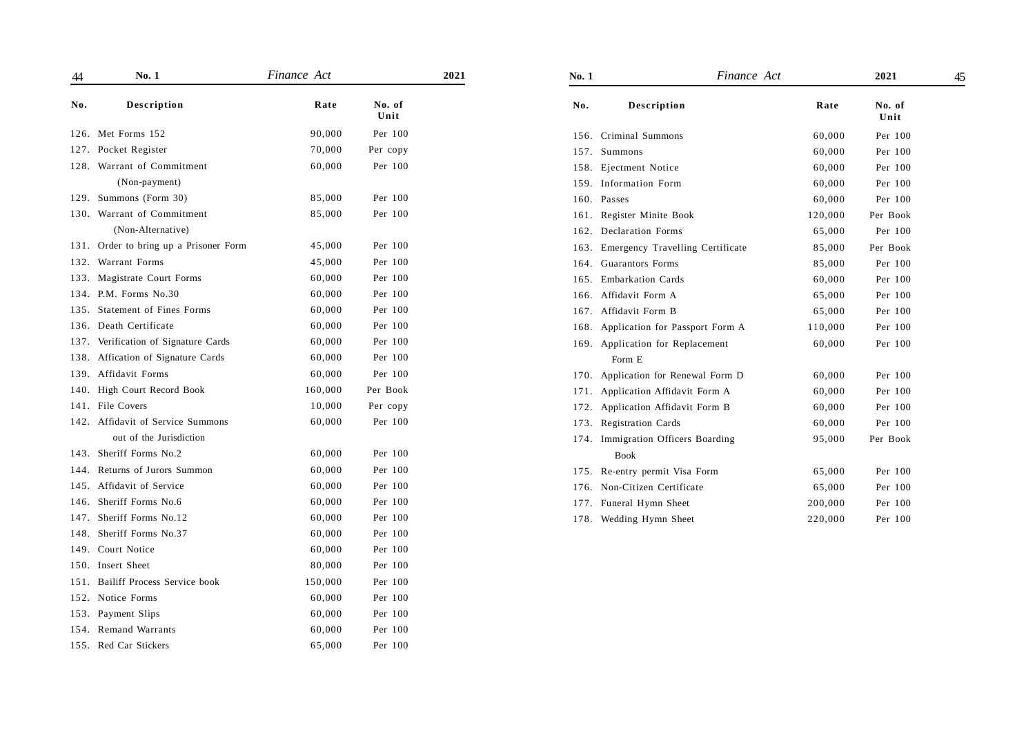| 44   | No. 1                                                   | Finance Act |                | 20 |
|------|---------------------------------------------------------|-------------|----------------|----|
| No.  | Description                                             | Rate        | No. of<br>Unit |    |
| 126. | Met Forms 152                                           | 90,000      | Per 100        |    |
| 127. | Pocket Register                                         | 70,000      | Per copy       |    |
|      | 128. Warrant of Commitment                              | 60,000      | Per 100        |    |
|      | (Non-payment)                                           |             |                |    |
|      | 129. Summons (Form 30)                                  | 85,000      | Per 100        |    |
|      | 130. Warrant of Commitment                              | 85,000      | Per 100        |    |
|      | (Non-Alternative)                                       |             |                |    |
|      | 131. Order to bring up a Prisoner Form                  | 45,000      | Per 100        |    |
|      | 132. Warrant Forms                                      | 45,000      | Per 100        |    |
| 133. | Magistrate Court Forms                                  | 60,000      | Per 100        |    |
|      | 134. P.M. Forms No.30                                   | 60,000      | Per 100        |    |
|      | 135. Statement of Fines Forms                           | 60,000      | Per 100        |    |
|      | 136. Death Certificate                                  | 60,000      | Per 100        |    |
|      | 137. Verification of Signature Cards                    | 60,000      | Per 100        |    |
|      | 138. Affication of Signature Cards                      | 60,000      | Per 100        |    |
|      | 139. Affidavit Forms                                    | 60,000      | Per 100        |    |
|      | 140. High Court Record Book                             | 160,000     | Per Book       |    |
| 141. | File Covers                                             | 10,000      | Per copy       |    |
| 142. | Affidavit of Service Summons<br>out of the Jurisdiction | 60,000      | Per 100        |    |
|      | 143. Sheriff Forms No.2                                 | 60,000      | Per 100        |    |
|      | 144. Returns of Jurors Summon                           | 60,000      | Per 100        |    |
| 145. | Affidavit of Service                                    | 60,000      | Per 100        |    |
| 146. | Sheriff Forms No.6                                      | 60,000      | Per 100        |    |
| 147. | Sheriff Forms No.12                                     | 60,000      | Per 100        |    |
| 148. | Sheriff Forms No.37                                     | 60,000      | Per 100        |    |
|      | 149. Court Notice                                       | 60,000      | Per 100        |    |
|      | 150. Insert Sheet                                       | 80,000      | Per 100        |    |
| 151. | Bailiff Process Service book                            | 150,000     | Per 100        |    |
|      | 152. Notice Forms                                       | 60,000      | Per 100        |    |
|      | 153. Payment Slips                                      | 60,000      | Per 100        |    |
| 154. | <b>Remand Warrants</b>                                  | 60,000      | Per 100        |    |
|      | 155. Red Car Stickers                                   | 65,000      | Per 100        |    |

| No. 1                    | Finance Act |                | 2021 | No. 1 | Finance Act                          |         | 2021           | 45 |
|--------------------------|-------------|----------------|------|-------|--------------------------------------|---------|----------------|----|
| escription               | Rate        | No. of<br>Unit |      | No.   | Description                          | Rate    | No. of<br>Unit |    |
| ns 152                   | 90,000      | Per 100        |      |       | 156. Criminal Summons                | 60,000  | Per 100        |    |
| degister                 | 70,000      | Per copy       |      |       | 157. Summons                         | 60,000  | Per 100        |    |
| of Commitment            | 60,000      | Per 100        |      | 158.  | Ejectment Notice                     | 60,000  | Per 100        |    |
| 1-payment)               |             |                |      |       | 159. Information Form                | 60,000  | Per 100        |    |
| $s$ (Form 30)            | 85,000      | Per 100        |      |       | 160. Passes                          | 60,000  | Per 100        |    |
| of Commitment            | 85,000      | Per 100        |      |       | 161. Register Minite Book            | 120,000 | Per Book       |    |
| -Alternative)            |             |                |      | 162.  | Declaration Forms                    | 65,000  | Per 100        |    |
| bring up a Prisoner Form | 45,000      | Per 100        |      | 163.  | Emergency Travelling Certificate     | 85,000  | Per Book       |    |
| Forms                    | 45,000      | Per 100        |      |       | 164. Guarantors Forms                | 85,000  | Per 100        |    |
| te Court Forms           | 60,000      | Per 100        |      | 165.  | <b>Embarkation Cards</b>             | 60,000  | Per 100        |    |
| ms No.30                 | 60,000      | Per 100        |      | 166.  | Affidavit Form A                     | 65,000  | Per 100        |    |
| t of Fines Forms         | 60,000      | Per 100        |      | 167.  | Affidavit Form B                     | 65,000  | Per 100        |    |
| ertificate               | 60,000      | Per 100        |      |       | 168. Application for Passport Form A | 110,000 | Per 100        |    |
| on of Signature Cards    | 60,000      | Per 100        |      |       | 169. Application for Replacement     | 60,000  | Per 100        |    |
| n of Signature Cards     | 60,000      | Per 100        |      |       | Form E                               |         |                |    |
| Forms                    | 60,000      | Per 100        |      |       | 170. Application for Renewal Form D  | 60,000  | Per 100        |    |
| urt Record Book          | 160,000     | Per Book       |      |       | 171. Application Affidavit Form A    | 60,000  | Per 100        |    |
| ers                      | 10,000      | Per copy       |      |       | 172. Application Affidavit Form B    | 60,000  | Per 100        |    |
| of Service Summons       | 60,000      | Per 100        |      | 173.  | <b>Registration Cards</b>            | 60,000  | Per 100        |    |
| f the Jurisdiction       |             |                |      |       | 174. Immigration Officers Boarding   | 95,000  | Per Book       |    |
| orms No.2                | 60,000      | Per 100        |      |       | <b>Book</b>                          |         |                |    |
| of Jurors Summon         | 60,000      | Per 100        |      |       | 175. Re-entry permit Visa Form       | 65,000  | Per 100        |    |
| of Service               | 60,000      | Per 100        |      | 176.  | Non-Citizen Certificate              | 65,000  | Per 100        |    |
| orms No.6                | 60,000      | Per 100        |      | 177.  | Funeral Hymn Sheet                   | 200,000 | Per 100        |    |
| orms No.12               | 60,000      | Per 100        |      |       | 178. Wedding Hymn Sheet              | 220,000 | Per 100        |    |
|                          |             |                |      |       |                                      |         |                |    |